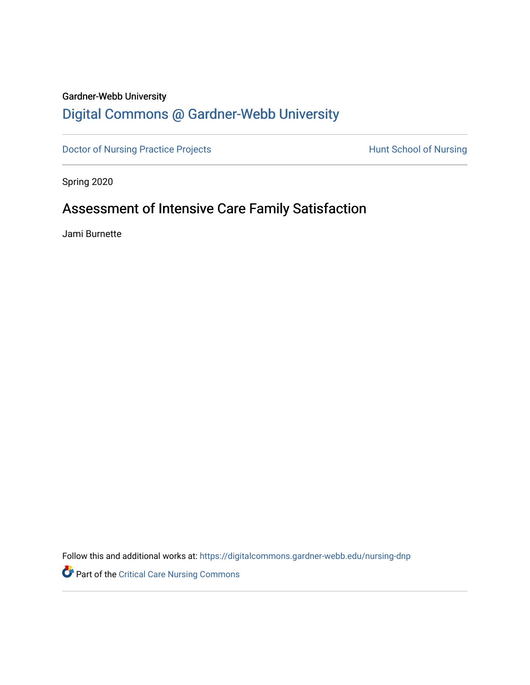## Gardner-Webb University

# [Digital Commons @ Gardner-Webb University](https://digitalcommons.gardner-webb.edu/)

[Doctor of Nursing Practice Projects](https://digitalcommons.gardner-webb.edu/nursing-dnp) **Hunt School of Nursing** 

Spring 2020

# Assessment of Intensive Care Family Satisfaction

Jami Burnette

Follow this and additional works at: [https://digitalcommons.gardner-webb.edu/nursing-dnp](https://digitalcommons.gardner-webb.edu/nursing-dnp?utm_source=digitalcommons.gardner-webb.edu%2Fnursing-dnp%2F1&utm_medium=PDF&utm_campaign=PDFCoverPages) 

Part of the [Critical Care Nursing Commons](http://network.bepress.com/hgg/discipline/727?utm_source=digitalcommons.gardner-webb.edu%2Fnursing-dnp%2F1&utm_medium=PDF&utm_campaign=PDFCoverPages)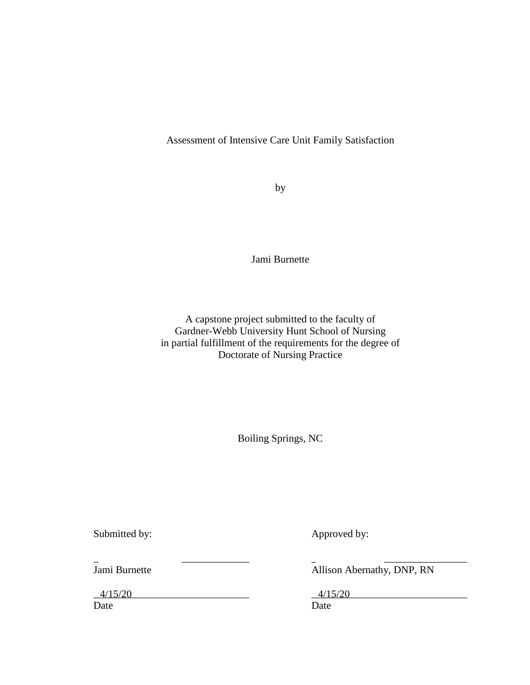## Assessment of Intensive Care Unit Family Satisfaction

by

Jami Burnette

A capstone project submitted to the faculty of Gardner-Webb University Hunt School of Nursing in partial fulfillment of the requirements for the degree of Doctorate of Nursing Practice

Boiling Springs, NC

Submitted by: Approved by:

\_ \_\_\_\_\_\_\_\_\_\_\_\_\_ \_ \_\_\_\_\_\_\_\_\_\_\_\_\_\_\_\_

 $4/15/20$   $4/15/20$ Date Date Date

Jami Burnette **Allison Abernathy**, DNP, RN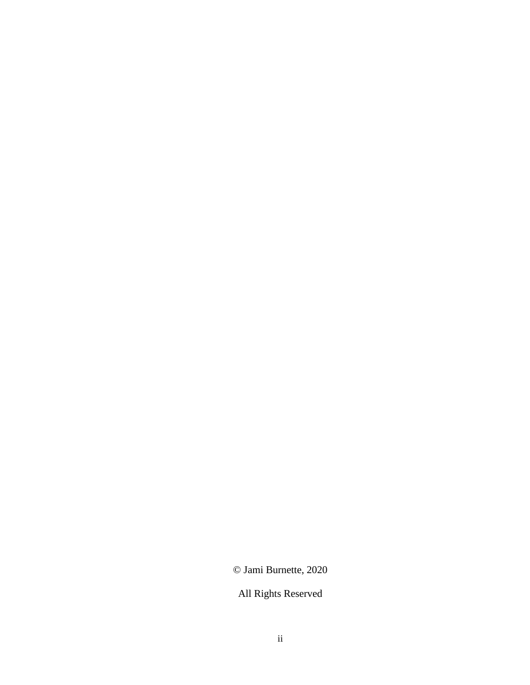© Jami Burnette, 2020

All Rights Reserved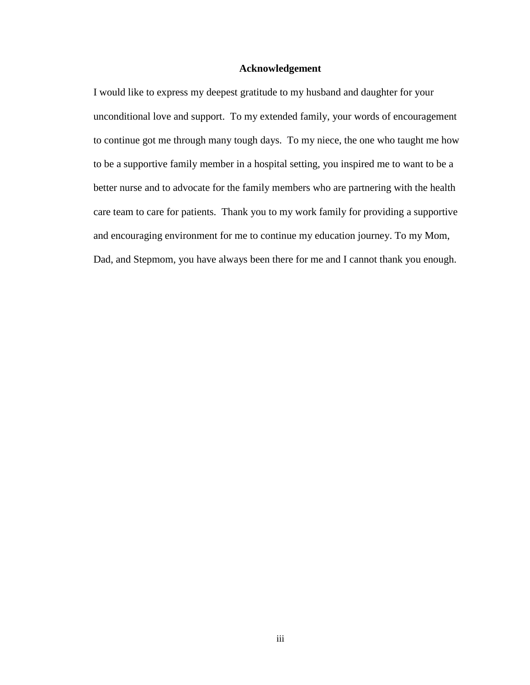### **Acknowledgement**

I would like to express my deepest gratitude to my husband and daughter for your unconditional love and support. To my extended family, your words of encouragement to continue got me through many tough days. To my niece, the one who taught me how to be a supportive family member in a hospital setting, you inspired me to want to be a better nurse and to advocate for the family members who are partnering with the health care team to care for patients. Thank you to my work family for providing a supportive and encouraging environment for me to continue my education journey. To my Mom, Dad, and Stepmom, you have always been there for me and I cannot thank you enough.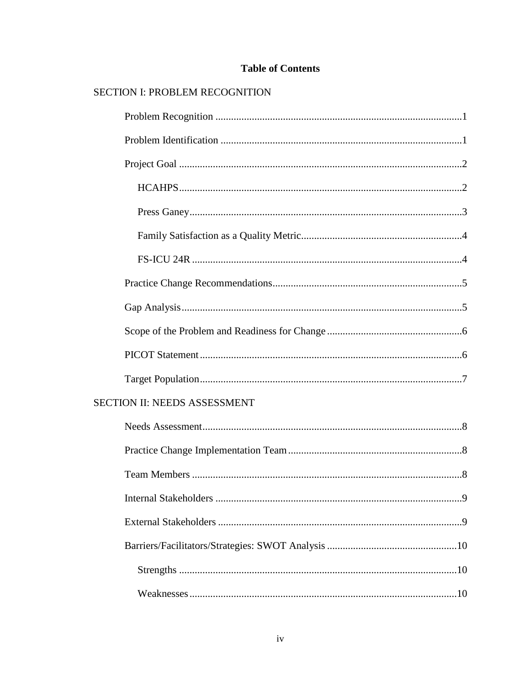## **Table of Contents**

## SECTION I: PROBLEM RECOGNITION

| SECTION II: NEEDS ASSESSMENT |  |
|------------------------------|--|
|                              |  |
|                              |  |
|                              |  |
| .9                           |  |
|                              |  |
|                              |  |
|                              |  |
|                              |  |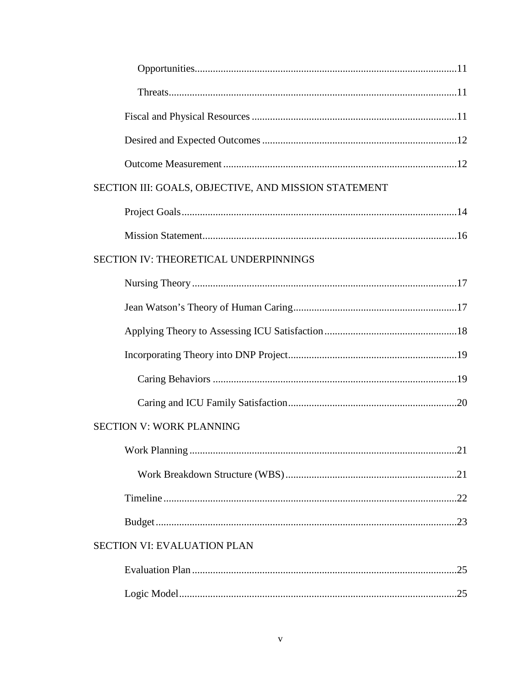| SECTION III: GOALS, OBJECTIVE, AND MISSION STATEMENT |
|------------------------------------------------------|
|                                                      |
|                                                      |
| SECTION IV: THEORETICAL UNDERPINNINGS                |
|                                                      |
|                                                      |
|                                                      |
|                                                      |
|                                                      |
|                                                      |
| <b>SECTION V: WORK PLANNING</b>                      |
|                                                      |
|                                                      |
|                                                      |
|                                                      |
| <b>SECTION VI: EVALUATION PLAN</b>                   |
|                                                      |
|                                                      |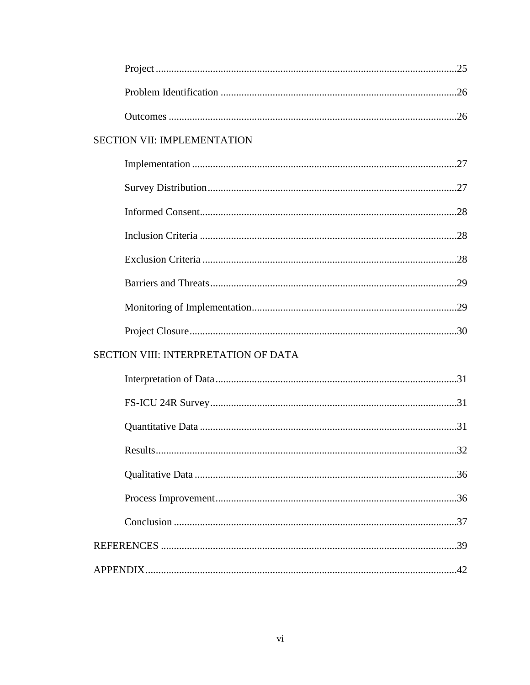| <b>SECTION VII: IMPLEMENTATION</b>          |  |  |  |
|---------------------------------------------|--|--|--|
|                                             |  |  |  |
|                                             |  |  |  |
|                                             |  |  |  |
|                                             |  |  |  |
|                                             |  |  |  |
|                                             |  |  |  |
|                                             |  |  |  |
|                                             |  |  |  |
| <b>SECTION VIII: INTERPRETATION OF DATA</b> |  |  |  |
|                                             |  |  |  |
|                                             |  |  |  |
|                                             |  |  |  |
|                                             |  |  |  |
|                                             |  |  |  |
|                                             |  |  |  |
|                                             |  |  |  |
|                                             |  |  |  |
|                                             |  |  |  |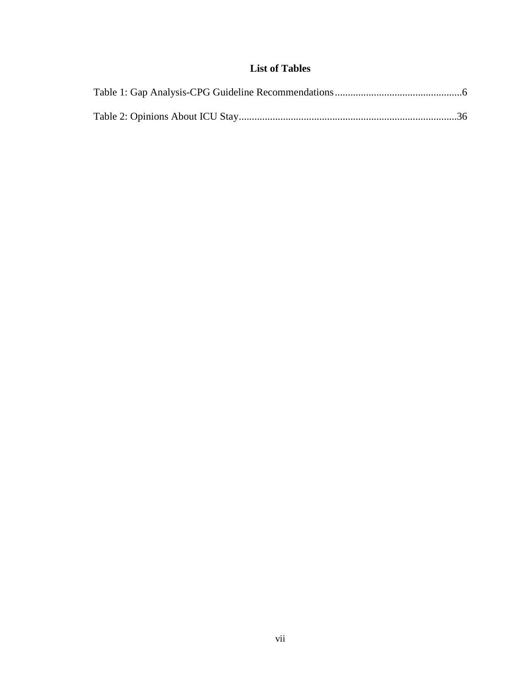## **List of Tables**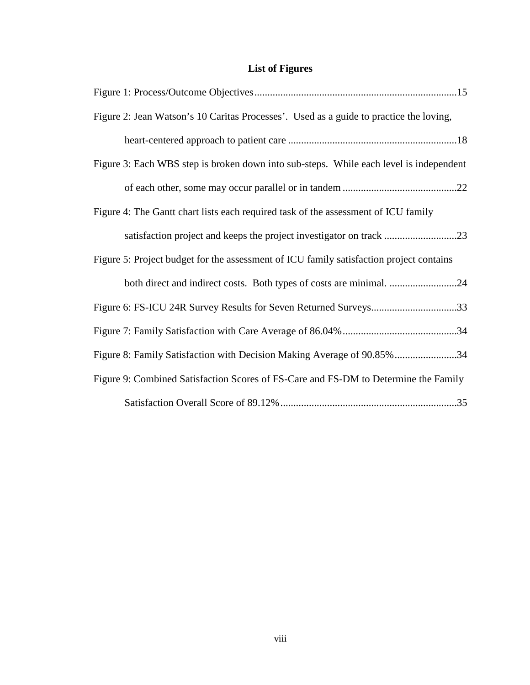## **List of Figures**

| Figure 2: Jean Watson's 10 Caritas Processes'. Used as a guide to practice the loving,  |  |
|-----------------------------------------------------------------------------------------|--|
|                                                                                         |  |
| Figure 3: Each WBS step is broken down into sub-steps. While each level is independent  |  |
|                                                                                         |  |
| Figure 4: The Gantt chart lists each required task of the assessment of ICU family      |  |
|                                                                                         |  |
| Figure 5: Project budget for the assessment of ICU family satisfaction project contains |  |
| both direct and indirect costs. Both types of costs are minimal. 24                     |  |
| Figure 6: FS-ICU 24R Survey Results for Seven Returned Surveys33                        |  |
|                                                                                         |  |
| Figure 8: Family Satisfaction with Decision Making Average of 90.85%34                  |  |
| Figure 9: Combined Satisfaction Scores of FS-Care and FS-DM to Determine the Family     |  |
|                                                                                         |  |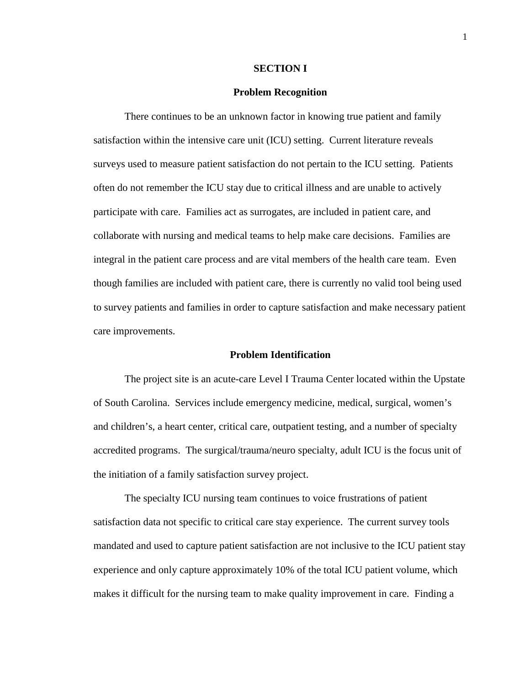#### **SECTION I**

#### **Problem Recognition**

There continues to be an unknown factor in knowing true patient and family satisfaction within the intensive care unit (ICU) setting. Current literature reveals surveys used to measure patient satisfaction do not pertain to the ICU setting. Patients often do not remember the ICU stay due to critical illness and are unable to actively participate with care. Families act as surrogates, are included in patient care, and collaborate with nursing and medical teams to help make care decisions. Families are integral in the patient care process and are vital members of the health care team. Even though families are included with patient care, there is currently no valid tool being used to survey patients and families in order to capture satisfaction and make necessary patient care improvements.

#### **Problem Identification**

The project site is an acute-care Level I Trauma Center located within the Upstate of South Carolina. Services include emergency medicine, medical, surgical, women's and children's, a heart center, critical care, outpatient testing, and a number of specialty accredited programs. The surgical/trauma/neuro specialty, adult ICU is the focus unit of the initiation of a family satisfaction survey project.

The specialty ICU nursing team continues to voice frustrations of patient satisfaction data not specific to critical care stay experience. The current survey tools mandated and used to capture patient satisfaction are not inclusive to the ICU patient stay experience and only capture approximately 10% of the total ICU patient volume, which makes it difficult for the nursing team to make quality improvement in care. Finding a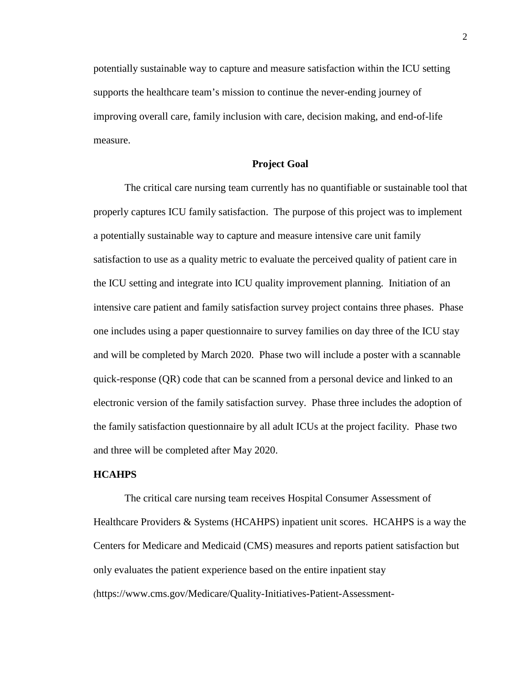potentially sustainable way to capture and measure satisfaction within the ICU setting supports the healthcare team's mission to continue the never-ending journey of improving overall care, family inclusion with care, decision making, and end-of-life measure.

### **Project Goal**

The critical care nursing team currently has no quantifiable or sustainable tool that properly captures ICU family satisfaction. The purpose of this project was to implement a potentially sustainable way to capture and measure intensive care unit family satisfaction to use as a quality metric to evaluate the perceived quality of patient care in the ICU setting and integrate into ICU quality improvement planning. Initiation of an intensive care patient and family satisfaction survey project contains three phases. Phase one includes using a paper questionnaire to survey families on day three of the ICU stay and will be completed by March 2020. Phase two will include a poster with a scannable quick-response (QR) code that can be scanned from a personal device and linked to an electronic version of the family satisfaction survey. Phase three includes the adoption of the family satisfaction questionnaire by all adult ICUs at the project facility. Phase two and three will be completed after May 2020.

#### **HCAHPS**

The critical care nursing team receives Hospital Consumer Assessment of Healthcare Providers & Systems (HCAHPS) inpatient unit scores. HCAHPS is a way the Centers for Medicare and Medicaid (CMS) measures and reports patient satisfaction but only evaluates the patient experience based on the entire inpatient stay (https://www.cms.gov/Medicare/Quality-Initiatives-Patient-Assessment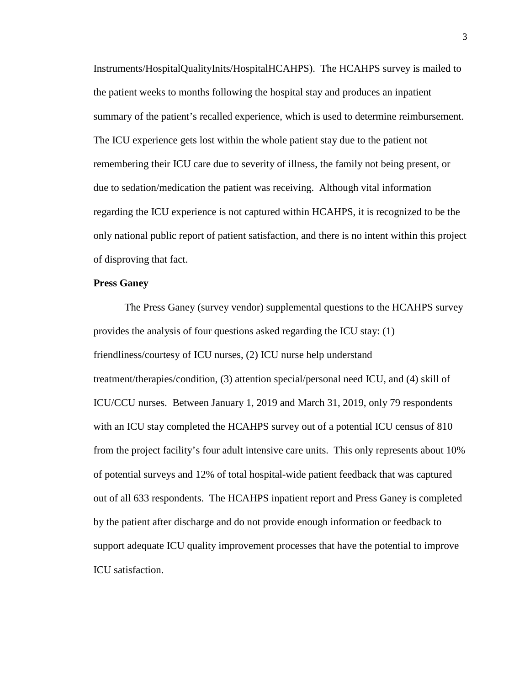Instruments/HospitalQualityInits/HospitalHCAHPS). The HCAHPS survey is mailed to the patient weeks to months following the hospital stay and produces an inpatient summary of the patient's recalled experience, which is used to determine reimbursement. The ICU experience gets lost within the whole patient stay due to the patient not remembering their ICU care due to severity of illness, the family not being present, or due to sedation/medication the patient was receiving. Although vital information regarding the ICU experience is not captured within HCAHPS, it is recognized to be the only national public report of patient satisfaction, and there is no intent within this project of disproving that fact.

## **Press Ganey**

The Press Ganey (survey vendor) supplemental questions to the HCAHPS survey provides the analysis of four questions asked regarding the ICU stay: (1) friendliness/courtesy of ICU nurses, (2) ICU nurse help understand treatment/therapies/condition, (3) attention special/personal need ICU, and (4) skill of ICU/CCU nurses. Between January 1, 2019 and March 31, 2019, only 79 respondents with an ICU stay completed the HCAHPS survey out of a potential ICU census of 810 from the project facility's four adult intensive care units. This only represents about 10% of potential surveys and 12% of total hospital-wide patient feedback that was captured out of all 633 respondents. The HCAHPS inpatient report and Press Ganey is completed by the patient after discharge and do not provide enough information or feedback to support adequate ICU quality improvement processes that have the potential to improve ICU satisfaction.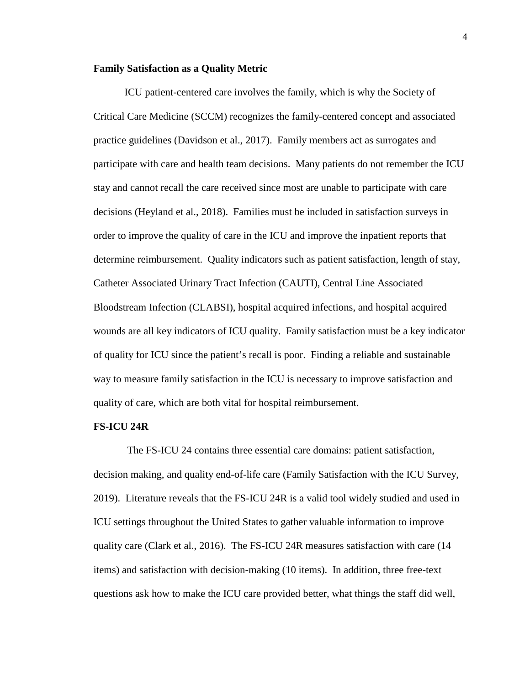#### **Family Satisfaction as a Quality Metric**

ICU patient-centered care involves the family, which is why the Society of Critical Care Medicine (SCCM) recognizes the family-centered concept and associated practice guidelines (Davidson et al., 2017). Family members act as surrogates and participate with care and health team decisions. Many patients do not remember the ICU stay and cannot recall the care received since most are unable to participate with care decisions (Heyland et al., 2018). Families must be included in satisfaction surveys in order to improve the quality of care in the ICU and improve the inpatient reports that determine reimbursement. Quality indicators such as patient satisfaction, length of stay, Catheter Associated Urinary Tract Infection (CAUTI), Central Line Associated Bloodstream Infection (CLABSI), hospital acquired infections, and hospital acquired wounds are all key indicators of ICU quality. Family satisfaction must be a key indicator of quality for ICU since the patient's recall is poor. Finding a reliable and sustainable way to measure family satisfaction in the ICU is necessary to improve satisfaction and quality of care, which are both vital for hospital reimbursement.

#### **FS-ICU 24R**

The FS-ICU 24 contains three essential care domains: patient satisfaction, decision making, and quality end-of-life care (Family Satisfaction with the ICU Survey, 2019). Literature reveals that the FS-ICU 24R is a valid tool widely studied and used in ICU settings throughout the United States to gather valuable information to improve quality care (Clark et al., 2016). The FS-ICU 24R measures satisfaction with care (14 items) and satisfaction with decision-making (10 items). In addition, three free-text questions ask how to make the ICU care provided better, what things the staff did well,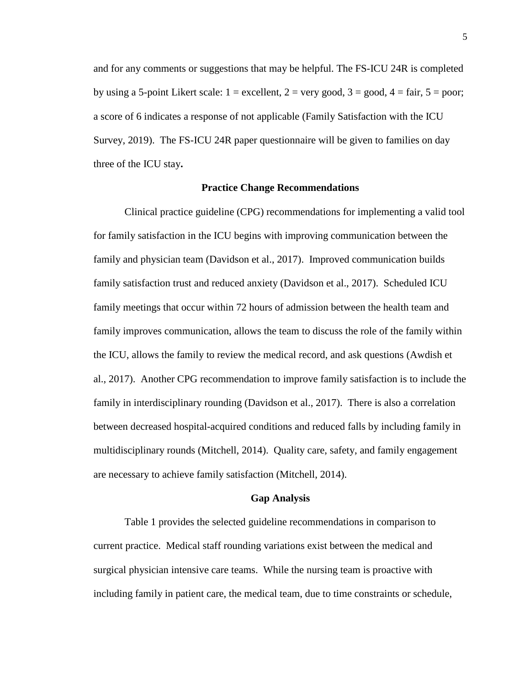and for any comments or suggestions that may be helpful. The FS-ICU 24R is completed by using a 5-point Likert scale:  $1 =$  excellent,  $2 =$  very good,  $3 =$  good,  $4 =$  fair,  $5 =$  poor; a score of 6 indicates a response of not applicable (Family Satisfaction with the ICU Survey, 2019). The FS-ICU 24R paper questionnaire will be given to families on day three of the ICU stay**.**

## **Practice Change Recommendations**

Clinical practice guideline (CPG) recommendations for implementing a valid tool for family satisfaction in the ICU begins with improving communication between the family and physician team (Davidson et al., 2017). Improved communication builds family satisfaction trust and reduced anxiety (Davidson et al., 2017). Scheduled ICU family meetings that occur within 72 hours of admission between the health team and family improves communication, allows the team to discuss the role of the family within the ICU, allows the family to review the medical record, and ask questions (Awdish et al., 2017). Another CPG recommendation to improve family satisfaction is to include the family in interdisciplinary rounding (Davidson et al., 2017). There is also a correlation between decreased hospital-acquired conditions and reduced falls by including family in multidisciplinary rounds (Mitchell, 2014). Quality care, safety, and family engagement are necessary to achieve family satisfaction (Mitchell, 2014).

#### **Gap Analysis**

Table 1 provides the selected guideline recommendations in comparison to current practice. Medical staff rounding variations exist between the medical and surgical physician intensive care teams. While the nursing team is proactive with including family in patient care, the medical team, due to time constraints or schedule,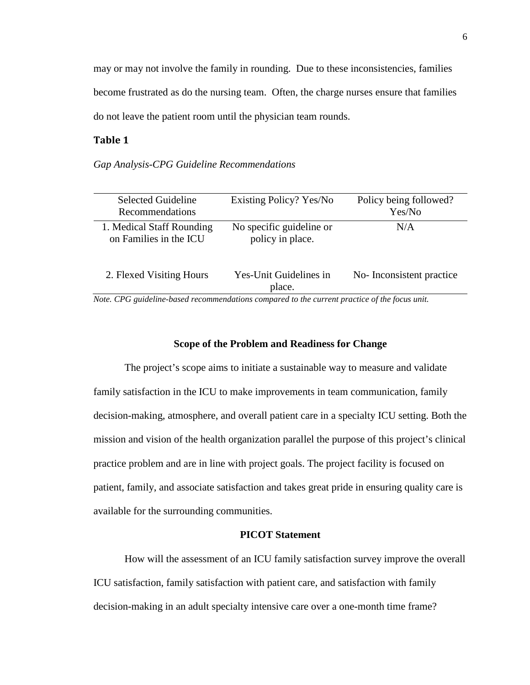may or may not involve the family in rounding. Due to these inconsistencies, families become frustrated as do the nursing team. Often, the charge nurses ensure that families do not leave the patient room until the physician team rounds.

## **Table 1**

*Gap Analysis-CPG Guideline Recommendations* 

| <b>Selected Guideline</b><br>Recommendations        | Existing Policy? Yes/No                      | Policy being followed?<br>Yes/No |
|-----------------------------------------------------|----------------------------------------------|----------------------------------|
| 1. Medical Staff Rounding<br>on Families in the ICU | No specific guideline or<br>policy in place. | N/A                              |
| 2. Flexed Visiting Hours                            | Yes-Unit Guidelines in<br>place.             | No-Inconsistent practice         |

*Note. CPG guideline-based recommendations compared to the current practice of the focus unit.* 

## **Scope of the Problem and Readiness for Change**

The project's scope aims to initiate a sustainable way to measure and validate family satisfaction in the ICU to make improvements in team communication, family decision-making, atmosphere, and overall patient care in a specialty ICU setting. Both the mission and vision of the health organization parallel the purpose of this project's clinical practice problem and are in line with project goals. The project facility is focused on patient, family, and associate satisfaction and takes great pride in ensuring quality care is available for the surrounding communities.

## **PICOT Statement**

How will the assessment of an ICU family satisfaction survey improve the overall ICU satisfaction, family satisfaction with patient care, and satisfaction with family decision-making in an adult specialty intensive care over a one-month time frame?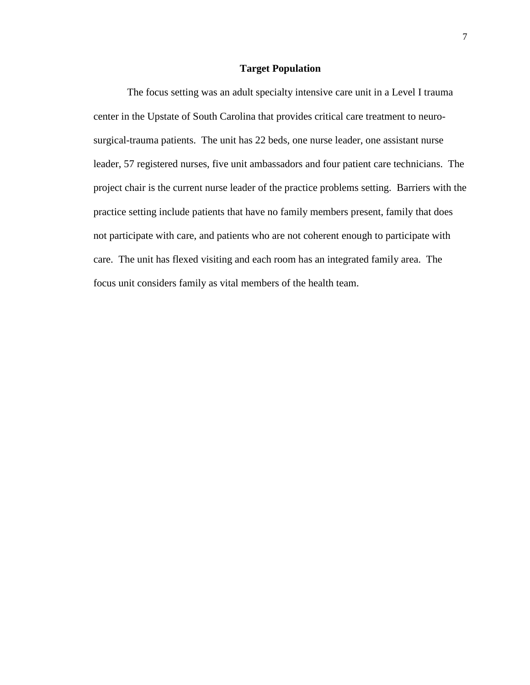#### **Target Population**

The focus setting was an adult specialty intensive care unit in a Level I trauma center in the Upstate of South Carolina that provides critical care treatment to neurosurgical-trauma patients. The unit has 22 beds, one nurse leader, one assistant nurse leader, 57 registered nurses, five unit ambassadors and four patient care technicians. The project chair is the current nurse leader of the practice problems setting. Barriers with the practice setting include patients that have no family members present, family that does not participate with care, and patients who are not coherent enough to participate with care. The unit has flexed visiting and each room has an integrated family area. The focus unit considers family as vital members of the health team.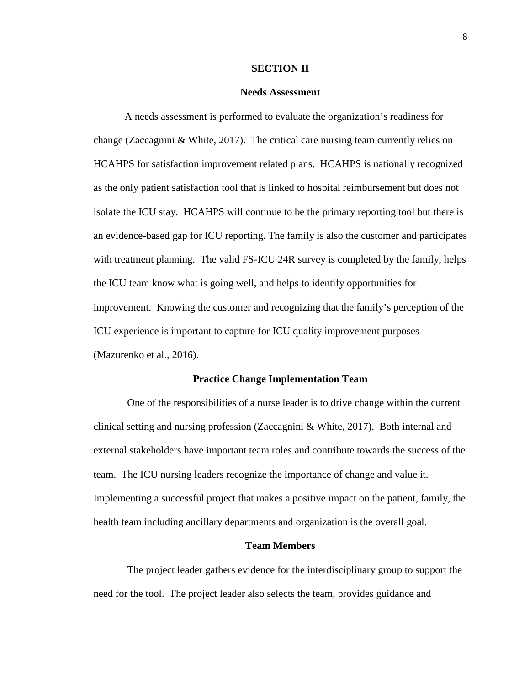#### **SECTION II**

#### **Needs Assessment**

A needs assessment is performed to evaluate the organization's readiness for change (Zaccagnini & White, 2017). The critical care nursing team currently relies on HCAHPS for satisfaction improvement related plans. HCAHPS is nationally recognized as the only patient satisfaction tool that is linked to hospital reimbursement but does not isolate the ICU stay. HCAHPS will continue to be the primary reporting tool but there is an evidence-based gap for ICU reporting. The family is also the customer and participates with treatment planning. The valid FS-ICU 24R survey is completed by the family, helps the ICU team know what is going well, and helps to identify opportunities for improvement. Knowing the customer and recognizing that the family's perception of the ICU experience is important to capture for ICU quality improvement purposes (Mazurenko et al., 2016).

#### **Practice Change Implementation Team**

 One of the responsibilities of a nurse leader is to drive change within the current clinical setting and nursing profession (Zaccagnini & White, 2017). Both internal and external stakeholders have important team roles and contribute towards the success of the team. The ICU nursing leaders recognize the importance of change and value it. Implementing a successful project that makes a positive impact on the patient, family, the health team including ancillary departments and organization is the overall goal.

#### **Team Members**

 The project leader gathers evidence for the interdisciplinary group to support the need for the tool. The project leader also selects the team, provides guidance and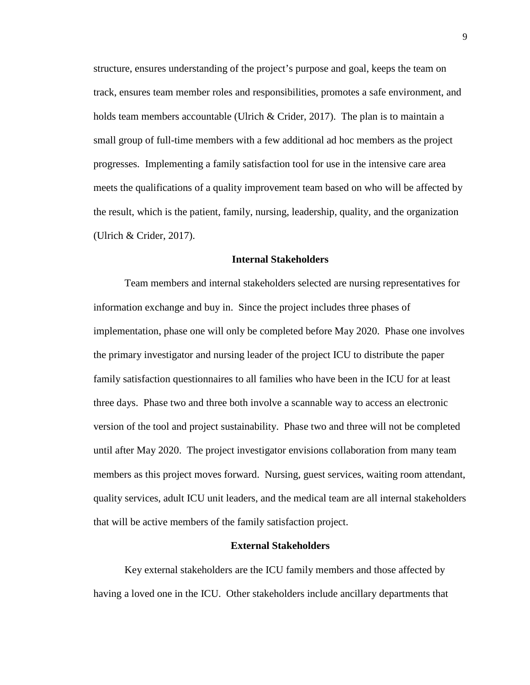structure, ensures understanding of the project's purpose and goal, keeps the team on track, ensures team member roles and responsibilities, promotes a safe environment, and holds team members accountable (Ulrich & Crider, 2017). The plan is to maintain a small group of full-time members with a few additional ad hoc members as the project progresses. Implementing a family satisfaction tool for use in the intensive care area meets the qualifications of a quality improvement team based on who will be affected by the result, which is the patient, family, nursing, leadership, quality, and the organization (Ulrich & Crider, 2017).

#### **Internal Stakeholders**

Team members and internal stakeholders selected are nursing representatives for information exchange and buy in. Since the project includes three phases of implementation, phase one will only be completed before May 2020. Phase one involves the primary investigator and nursing leader of the project ICU to distribute the paper family satisfaction questionnaires to all families who have been in the ICU for at least three days. Phase two and three both involve a scannable way to access an electronic version of the tool and project sustainability. Phase two and three will not be completed until after May 2020. The project investigator envisions collaboration from many team members as this project moves forward. Nursing, guest services, waiting room attendant, quality services, adult ICU unit leaders, and the medical team are all internal stakeholders that will be active members of the family satisfaction project.

#### **External Stakeholders**

Key external stakeholders are the ICU family members and those affected by having a loved one in the ICU. Other stakeholders include ancillary departments that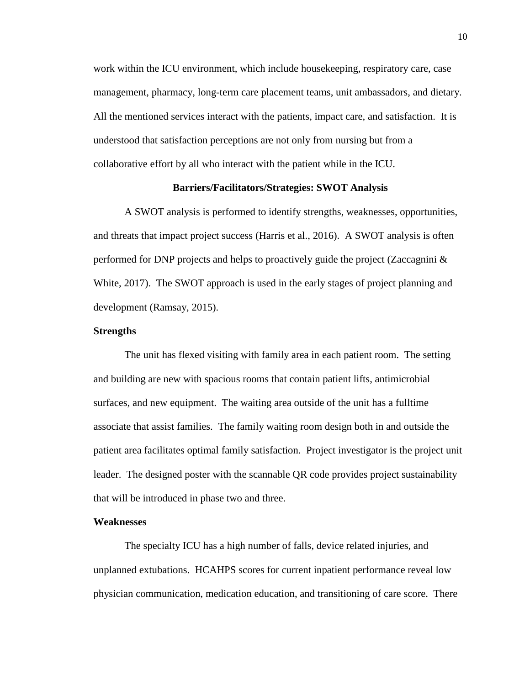work within the ICU environment, which include housekeeping, respiratory care, case management, pharmacy, long-term care placement teams, unit ambassadors, and dietary. All the mentioned services interact with the patients, impact care, and satisfaction. It is understood that satisfaction perceptions are not only from nursing but from a collaborative effort by all who interact with the patient while in the ICU.

## **Barriers/Facilitators/Strategies: SWOT Analysis**

A SWOT analysis is performed to identify strengths, weaknesses, opportunities, and threats that impact project success (Harris et al., 2016). A SWOT analysis is often performed for DNP projects and helps to proactively guide the project (Zaccagnini  $\&$ White, 2017). The SWOT approach is used in the early stages of project planning and development (Ramsay, 2015).

#### **Strengths**

The unit has flexed visiting with family area in each patient room. The setting and building are new with spacious rooms that contain patient lifts, antimicrobial surfaces, and new equipment. The waiting area outside of the unit has a fulltime associate that assist families. The family waiting room design both in and outside the patient area facilitates optimal family satisfaction. Project investigator is the project unit leader. The designed poster with the scannable QR code provides project sustainability that will be introduced in phase two and three.

### **Weaknesses**

The specialty ICU has a high number of falls, device related injuries, and unplanned extubations. HCAHPS scores for current inpatient performance reveal low physician communication, medication education, and transitioning of care score. There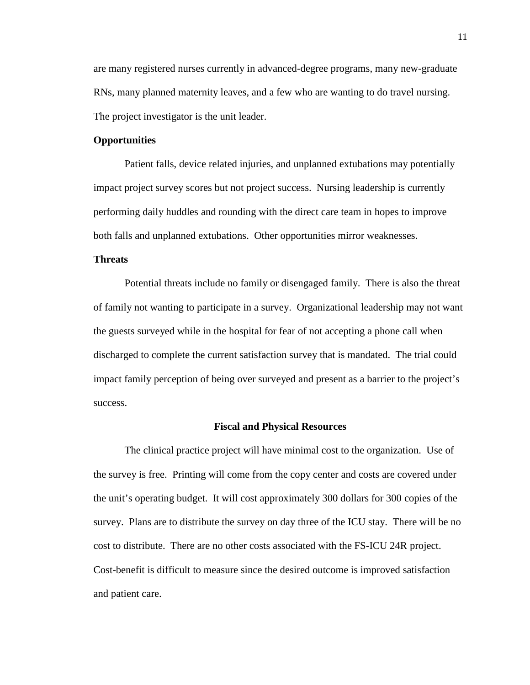are many registered nurses currently in advanced-degree programs, many new-graduate RNs, many planned maternity leaves, and a few who are wanting to do travel nursing. The project investigator is the unit leader.

## **Opportunities**

Patient falls, device related injuries, and unplanned extubations may potentially impact project survey scores but not project success. Nursing leadership is currently performing daily huddles and rounding with the direct care team in hopes to improve both falls and unplanned extubations. Other opportunities mirror weaknesses.

### **Threats**

Potential threats include no family or disengaged family. There is also the threat of family not wanting to participate in a survey. Organizational leadership may not want the guests surveyed while in the hospital for fear of not accepting a phone call when discharged to complete the current satisfaction survey that is mandated. The trial could impact family perception of being over surveyed and present as a barrier to the project's success.

#### **Fiscal and Physical Resources**

The clinical practice project will have minimal cost to the organization. Use of the survey is free. Printing will come from the copy center and costs are covered under the unit's operating budget. It will cost approximately 300 dollars for 300 copies of the survey. Plans are to distribute the survey on day three of the ICU stay. There will be no cost to distribute. There are no other costs associated with the FS-ICU 24R project. Cost-benefit is difficult to measure since the desired outcome is improved satisfaction and patient care.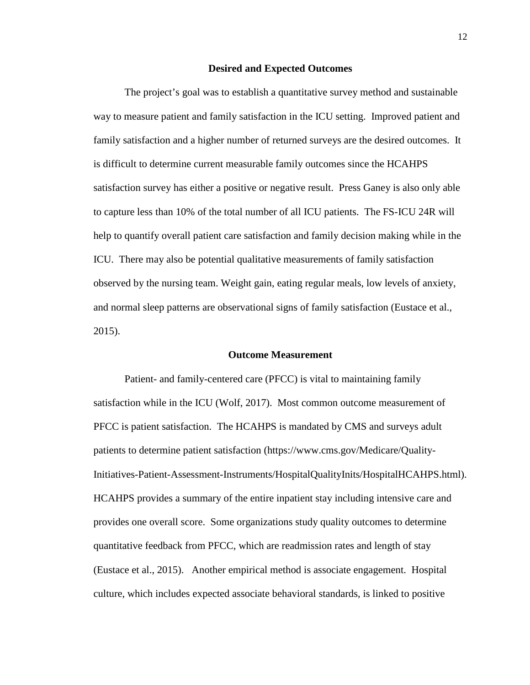#### **Desired and Expected Outcomes**

The project's goal was to establish a quantitative survey method and sustainable way to measure patient and family satisfaction in the ICU setting. Improved patient and family satisfaction and a higher number of returned surveys are the desired outcomes. It is difficult to determine current measurable family outcomes since the HCAHPS satisfaction survey has either a positive or negative result. Press Ganey is also only able to capture less than 10% of the total number of all ICU patients. The FS-ICU 24R will help to quantify overall patient care satisfaction and family decision making while in the ICU. There may also be potential qualitative measurements of family satisfaction observed by the nursing team. Weight gain, eating regular meals, low levels of anxiety, and normal sleep patterns are observational signs of family satisfaction (Eustace et al., 2015).

#### **Outcome Measurement**

Patient- and family-centered care (PFCC) is vital to maintaining family satisfaction while in the ICU (Wolf, 2017). Most common outcome measurement of PFCC is patient satisfaction. The HCAHPS is mandated by CMS and surveys adult patients to determine patient satisfaction (https://www.cms.gov/Medicare/Quality-Initiatives-Patient-Assessment-Instruments/HospitalQualityInits/HospitalHCAHPS.html). HCAHPS provides a summary of the entire inpatient stay including intensive care and provides one overall score. Some organizations study quality outcomes to determine quantitative feedback from PFCC, which are readmission rates and length of stay (Eustace et al., 2015). Another empirical method is associate engagement. Hospital culture, which includes expected associate behavioral standards, is linked to positive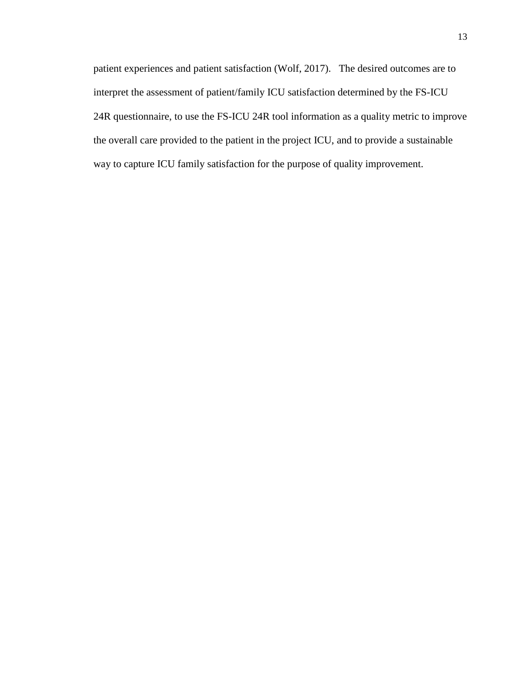patient experiences and patient satisfaction (Wolf, 2017). The desired outcomes are to interpret the assessment of patient/family ICU satisfaction determined by the FS-ICU 24R questionnaire, to use the FS-ICU 24R tool information as a quality metric to improve the overall care provided to the patient in the project ICU, and to provide a sustainable way to capture ICU family satisfaction for the purpose of quality improvement.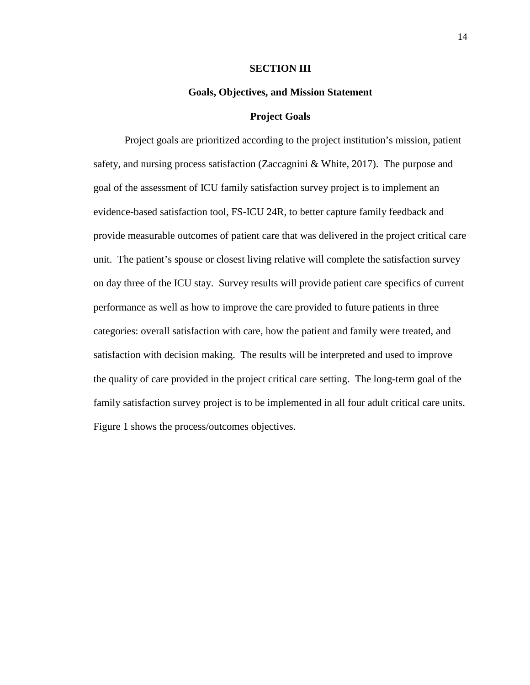#### **SECTION III**

#### **Goals, Objectives, and Mission Statement**

#### **Project Goals**

Project goals are prioritized according to the project institution's mission, patient safety, and nursing process satisfaction (Zaccagnini & White, 2017). The purpose and goal of the assessment of ICU family satisfaction survey project is to implement an evidence-based satisfaction tool, FS-ICU 24R, to better capture family feedback and provide measurable outcomes of patient care that was delivered in the project critical care unit. The patient's spouse or closest living relative will complete the satisfaction survey on day three of the ICU stay. Survey results will provide patient care specifics of current performance as well as how to improve the care provided to future patients in three categories: overall satisfaction with care, how the patient and family were treated, and satisfaction with decision making. The results will be interpreted and used to improve the quality of care provided in the project critical care setting. The long-term goal of the family satisfaction survey project is to be implemented in all four adult critical care units. Figure 1 shows the process/outcomes objectives.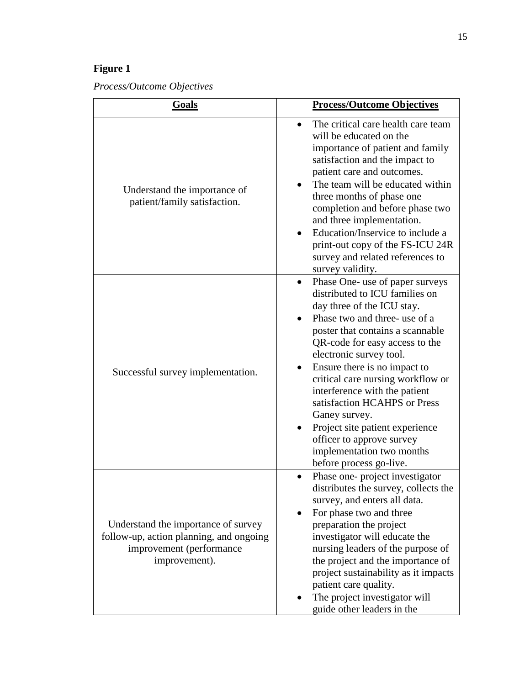## **Figure 1**

*Process/Outcome Objectives*

| Goals                                                                                                                       | <b>Process/Outcome Objectives</b>                                                                                                                                                                                                                                                                                                                                                                                                                                                                                |
|-----------------------------------------------------------------------------------------------------------------------------|------------------------------------------------------------------------------------------------------------------------------------------------------------------------------------------------------------------------------------------------------------------------------------------------------------------------------------------------------------------------------------------------------------------------------------------------------------------------------------------------------------------|
| Understand the importance of<br>patient/family satisfaction.                                                                | The critical care health care team<br>$\bullet$<br>will be educated on the<br>importance of patient and family<br>satisfaction and the impact to<br>patient care and outcomes.<br>The team will be educated within<br>three months of phase one<br>completion and before phase two<br>and three implementation.<br>Education/Inservice to include a<br>$\bullet$<br>print-out copy of the FS-ICU 24R<br>survey and related references to<br>survey validity.                                                     |
| Successful survey implementation.                                                                                           | Phase One- use of paper surveys<br>distributed to ICU families on<br>day three of the ICU stay.<br>Phase two and three- use of a<br>poster that contains a scannable<br>QR-code for easy access to the<br>electronic survey tool.<br>Ensure there is no impact to<br>critical care nursing workflow or<br>interference with the patient<br>satisfaction HCAHPS or Press<br>Ganey survey.<br>Project site patient experience<br>officer to approve survey<br>implementation two months<br>before process go-live. |
| Understand the importance of survey<br>follow-up, action planning, and ongoing<br>improvement (performance<br>improvement). | Phase one-project investigator<br>distributes the survey, collects the<br>survey, and enters all data.<br>For phase two and three<br>$\bullet$<br>preparation the project<br>investigator will educate the<br>nursing leaders of the purpose of<br>the project and the importance of<br>project sustainability as it impacts<br>patient care quality.<br>The project investigator will<br>guide other leaders in the                                                                                             |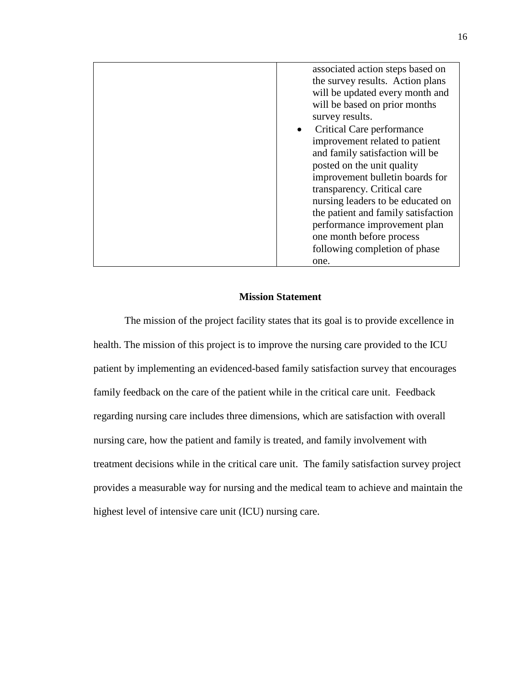| associated action steps based on       |
|----------------------------------------|
| the survey results. Action plans       |
| will be updated every month and        |
| will be based on prior months          |
| survey results.                        |
| Critical Care performance<br>$\bullet$ |
| improvement related to patient         |
| and family satisfaction will be        |
| posted on the unit quality             |
| improvement bulletin boards for        |
| transparency. Critical care            |
| nursing leaders to be educated on      |
| the patient and family satisfaction    |
| performance improvement plan           |
| one month before process               |
| following completion of phase          |
| one.                                   |

## **Mission Statement**

The mission of the project facility states that its goal is to provide excellence in health. The mission of this project is to improve the nursing care provided to the ICU patient by implementing an evidenced-based family satisfaction survey that encourages family feedback on the care of the patient while in the critical care unit. Feedback regarding nursing care includes three dimensions, which are satisfaction with overall nursing care, how the patient and family is treated, and family involvement with treatment decisions while in the critical care unit. The family satisfaction survey project provides a measurable way for nursing and the medical team to achieve and maintain the highest level of intensive care unit (ICU) nursing care.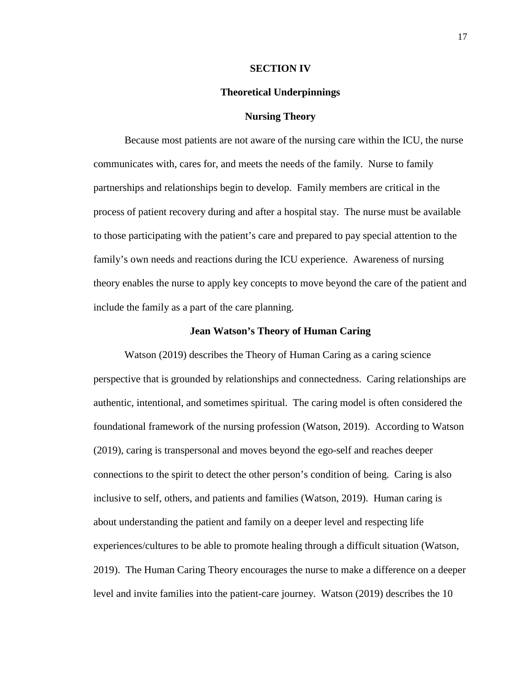#### **SECTION IV**

#### **Theoretical Underpinnings**

## **Nursing Theory**

Because most patients are not aware of the nursing care within the ICU, the nurse communicates with, cares for, and meets the needs of the family. Nurse to family partnerships and relationships begin to develop. Family members are critical in the process of patient recovery during and after a hospital stay. The nurse must be available to those participating with the patient's care and prepared to pay special attention to the family's own needs and reactions during the ICU experience. Awareness of nursing theory enables the nurse to apply key concepts to move beyond the care of the patient and include the family as a part of the care planning.

#### **Jean Watson's Theory of Human Caring**

Watson (2019) describes the Theory of Human Caring as a caring science perspective that is grounded by relationships and connectedness. Caring relationships are authentic, intentional, and sometimes spiritual. The caring model is often considered the foundational framework of the nursing profession (Watson, 2019). According to Watson (2019), caring is transpersonal and moves beyond the ego-self and reaches deeper connections to the spirit to detect the other person's condition of being. Caring is also inclusive to self, others, and patients and families (Watson, 2019). Human caring is about understanding the patient and family on a deeper level and respecting life experiences/cultures to be able to promote healing through a difficult situation (Watson, 2019). The Human Caring Theory encourages the nurse to make a difference on a deeper level and invite families into the patient-care journey. Watson (2019) describes the 10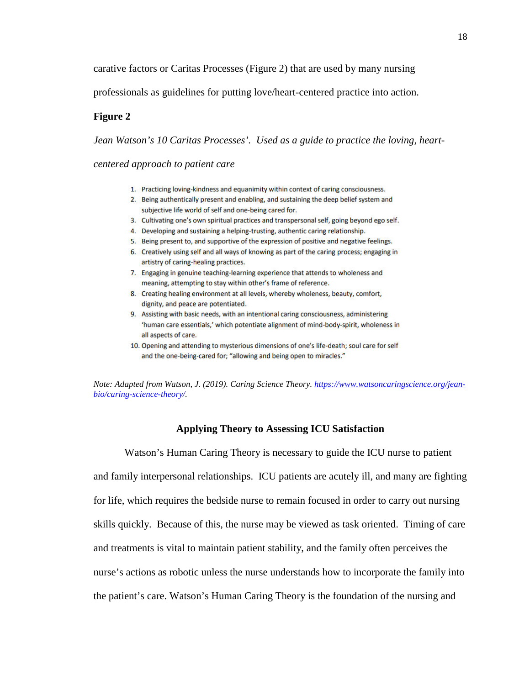carative factors or Caritas Processes (Figure 2) that are used by many nursing

professionals as guidelines for putting love/heart-centered practice into action.

### **Figure 2**

*Jean Watson's 10 Caritas Processes'. Used as a guide to practice the loving, heart-*

*centered approach to patient care* 

- 1. Practicing loving-kindness and equanimity within context of caring consciousness.
- 2. Being authentically present and enabling, and sustaining the deep belief system and subjective life world of self and one-being cared for.
- 3. Cultivating one's own spiritual practices and transpersonal self, going beyond ego self.
- 4. Developing and sustaining a helping-trusting, authentic caring relationship.
- 5. Being present to, and supportive of the expression of positive and negative feelings.
- 6. Creatively using self and all ways of knowing as part of the caring process; engaging in artistry of caring-healing practices.
- 7. Engaging in genuine teaching-learning experience that attends to wholeness and meaning, attempting to stay within other's frame of reference.
- 8. Creating healing environment at all levels, whereby wholeness, beauty, comfort, dignity, and peace are potentiated.
- 9. Assisting with basic needs, with an intentional caring consciousness, administering 'human care essentials,' which potentiate alignment of mind-body-spirit, wholeness in all aspects of care.
- 10. Opening and attending to mysterious dimensions of one's life-death; soul care for self and the one-being-cared for; "allowing and being open to miracles."

*Note: Adapted from Watson, J. (2019). Caring Science Theory. https://www.watsoncaringscience.org/jeanbio/caring-science-theory/.* 

## **Applying Theory to Assessing ICU Satisfaction**

Watson's Human Caring Theory is necessary to guide the ICU nurse to patient and family interpersonal relationships. ICU patients are acutely ill, and many are fighting for life, which requires the bedside nurse to remain focused in order to carry out nursing skills quickly. Because of this, the nurse may be viewed as task oriented. Timing of care and treatments is vital to maintain patient stability, and the family often perceives the nurse's actions as robotic unless the nurse understands how to incorporate the family into the patient's care. Watson's Human Caring Theory is the foundation of the nursing and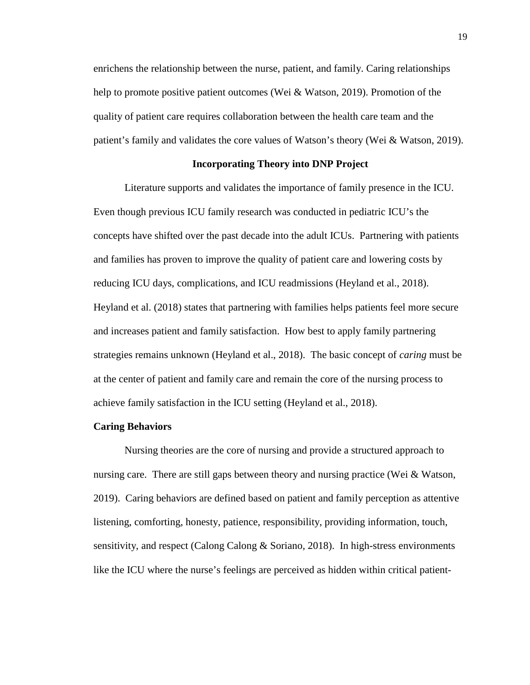enrichens the relationship between the nurse, patient, and family. Caring relationships help to promote positive patient outcomes (Wei & Watson, 2019). Promotion of the quality of patient care requires collaboration between the health care team and the patient's family and validates the core values of Watson's theory (Wei & Watson, 2019).

#### **Incorporating Theory into DNP Project**

Literature supports and validates the importance of family presence in the ICU. Even though previous ICU family research was conducted in pediatric ICU's the concepts have shifted over the past decade into the adult ICUs. Partnering with patients and families has proven to improve the quality of patient care and lowering costs by reducing ICU days, complications, and ICU readmissions (Heyland et al., 2018). Heyland et al. (2018) states that partnering with families helps patients feel more secure and increases patient and family satisfaction. How best to apply family partnering strategies remains unknown (Heyland et al., 2018). The basic concept of *caring* must be at the center of patient and family care and remain the core of the nursing process to achieve family satisfaction in the ICU setting (Heyland et al., 2018).

#### **Caring Behaviors**

Nursing theories are the core of nursing and provide a structured approach to nursing care. There are still gaps between theory and nursing practice (Wei & Watson, 2019). Caring behaviors are defined based on patient and family perception as attentive listening, comforting, honesty, patience, responsibility, providing information, touch, sensitivity, and respect (Calong Calong & Soriano, 2018). In high-stress environments like the ICU where the nurse's feelings are perceived as hidden within critical patient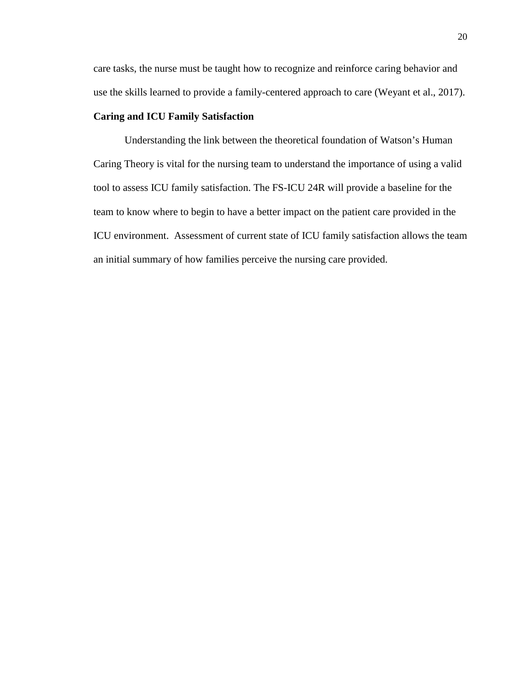care tasks, the nurse must be taught how to recognize and reinforce caring behavior and use the skills learned to provide a family-centered approach to care (Weyant et al., 2017).

## **Caring and ICU Family Satisfaction**

Understanding the link between the theoretical foundation of Watson's Human Caring Theory is vital for the nursing team to understand the importance of using a valid tool to assess ICU family satisfaction. The FS-ICU 24R will provide a baseline for the team to know where to begin to have a better impact on the patient care provided in the ICU environment. Assessment of current state of ICU family satisfaction allows the team an initial summary of how families perceive the nursing care provided.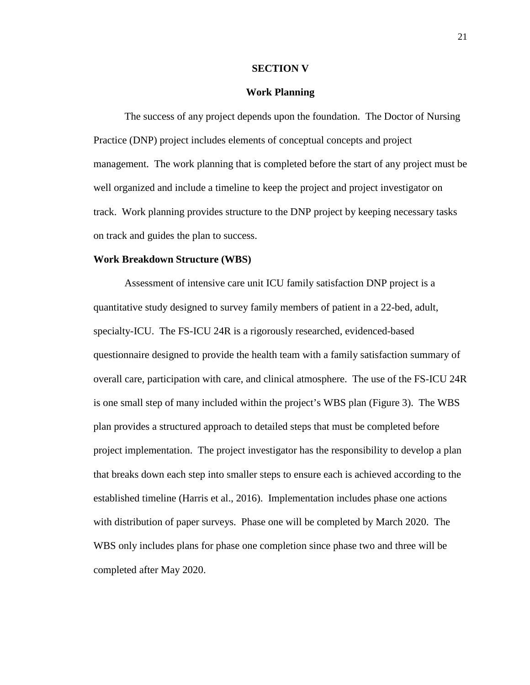#### **SECTION V**

### **Work Planning**

The success of any project depends upon the foundation. The Doctor of Nursing Practice (DNP) project includes elements of conceptual concepts and project management. The work planning that is completed before the start of any project must be well organized and include a timeline to keep the project and project investigator on track. Work planning provides structure to the DNP project by keeping necessary tasks on track and guides the plan to success.

#### **Work Breakdown Structure (WBS)**

Assessment of intensive care unit ICU family satisfaction DNP project is a quantitative study designed to survey family members of patient in a 22-bed, adult, specialty-ICU. The FS-ICU 24R is a rigorously researched, evidenced-based questionnaire designed to provide the health team with a family satisfaction summary of overall care, participation with care, and clinical atmosphere. The use of the FS-ICU 24R is one small step of many included within the project's WBS plan (Figure 3). The WBS plan provides a structured approach to detailed steps that must be completed before project implementation. The project investigator has the responsibility to develop a plan that breaks down each step into smaller steps to ensure each is achieved according to the established timeline (Harris et al., 2016). Implementation includes phase one actions with distribution of paper surveys. Phase one will be completed by March 2020. The WBS only includes plans for phase one completion since phase two and three will be completed after May 2020.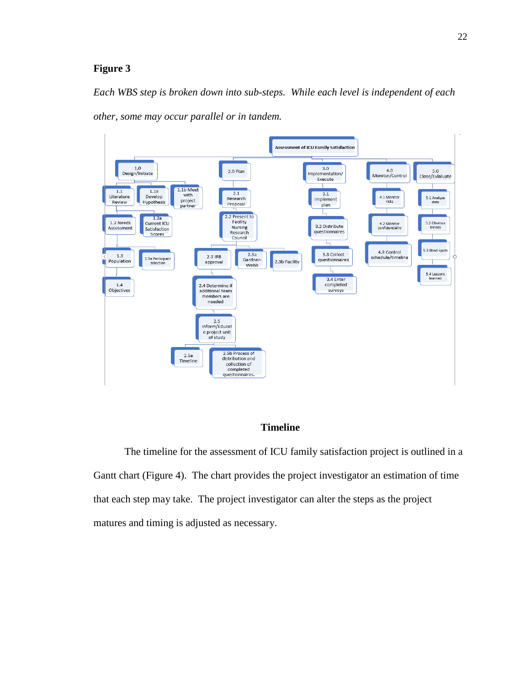## **Figure 3**

*Each WBS step is broken down into sub-steps. While each level is independent of each other, some may occur parallel or in tandem.* 



## **Timeline**

The timeline for the assessment of ICU family satisfaction project is outlined in a Gantt chart (Figure 4). The chart provides the project investigator an estimation of time that each step may take. The project investigator can alter the steps as the project matures and timing is adjusted as necessary.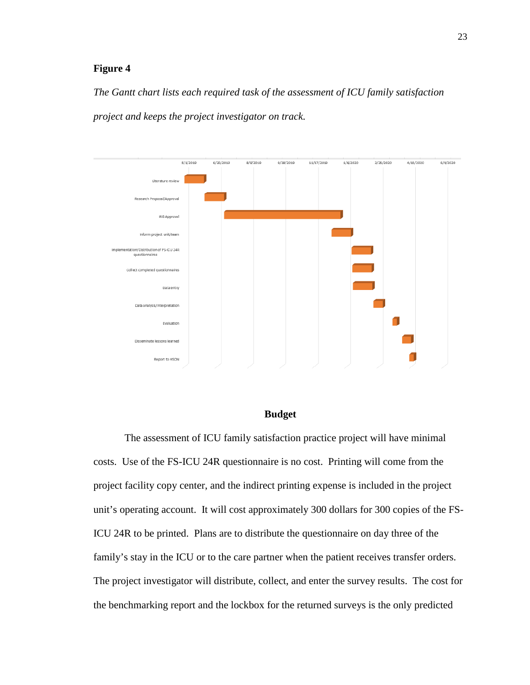## **Figure 4**

*The Gantt chart lists each required task of the assessment of ICU family satisfaction project and keeps the project investigator on track.* 



## **Budget**

The assessment of ICU family satisfaction practice project will have minimal costs. Use of the FS-ICU 24R questionnaire is no cost. Printing will come from the project facility copy center, and the indirect printing expense is included in the project unit's operating account. It will cost approximately 300 dollars for 300 copies of the FS-ICU 24R to be printed. Plans are to distribute the questionnaire on day three of the family's stay in the ICU or to the care partner when the patient receives transfer orders. The project investigator will distribute, collect, and enter the survey results. The cost for the benchmarking report and the lockbox for the returned surveys is the only predicted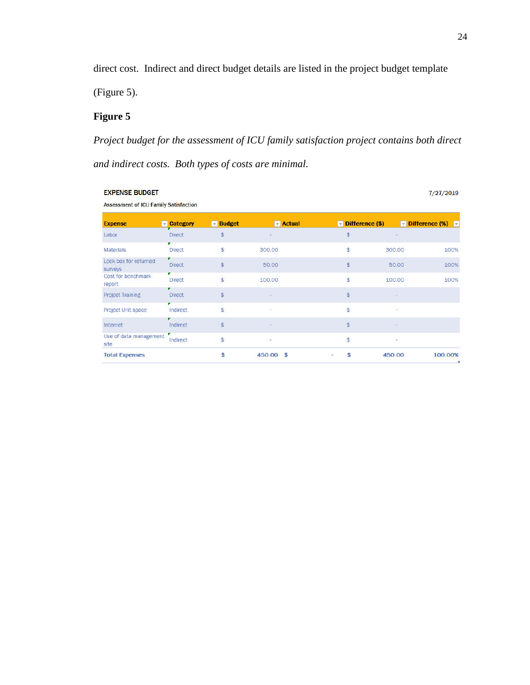direct cost. Indirect and direct budget details are listed in the project budget template

(Figure 5).

## **Figure 5**

*Project budget for the assessment of ICU family satisfaction project contains both direct and indirect costs. Both types of costs are minimal.* 

| <b>EXPENSE BUDGET</b><br>7/27/2019           |                    |                              |                              |                                       |        |                                                |
|----------------------------------------------|--------------------|------------------------------|------------------------------|---------------------------------------|--------|------------------------------------------------|
| <b>Assessment of ICU Family Satisfaction</b> |                    |                              |                              |                                       |        |                                                |
| <b>Expense</b>                               | <b>v</b> Category  | $\blacktriangleright$ Budget | $\blacktriangleright$ Actual | $\blacktriangleright$ Difference (\$) |        | $\triangledown$ Difference (%) $\triangledown$ |
| Labor                                        | <b>Direct</b>      | $\frac{1}{2}$                |                              | $\frac{1}{2}$                         |        |                                                |
| <b>Materials</b>                             | <b>Direct</b>      | $$\mathbb{S}$$               | 300.00                       | \$                                    | 300.00 | 100%                                           |
| Lock box for returned<br>surveys             | <b>Direct</b>      | $\frac{1}{2}$                | 50.00                        | $\frac{1}{2}$                         | 50.00  | 100%                                           |
| Cost for benchmark<br>report                 | ▼<br><b>Direct</b> | \$                           | 100.00                       | $$\mathbb{S}$$                        | 100.00 | 100%                                           |
| <b>Project Training</b>                      | <b>Direct</b>      | $\frac{1}{2}$                |                              | $\frac{1}{2}$                         |        |                                                |
| Project Unit space                           | Indirect           | $$\mathbb{S}$$               |                              | $$\mathbb{S}$$                        | z      |                                                |
| Internet                                     | Indirect           | $\frac{1}{2}$                |                              | \$                                    |        |                                                |
| Use of data management<br>site               | Indirect           | \$                           | ٠                            | \$                                    | ٠      |                                                |
| <b>Total Expenses</b>                        |                    | \$                           | 450.00 \$                    | \$                                    | 450.00 | 100.00%                                        |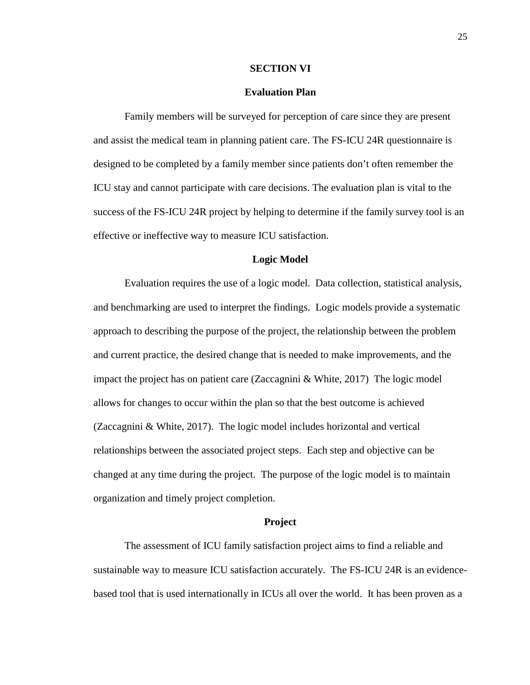#### **SECTION VI**

#### **Evaluation Plan**

Family members will be surveyed for perception of care since they are present and assist the medical team in planning patient care. The FS-ICU 24R questionnaire is designed to be completed by a family member since patients don't often remember the ICU stay and cannot participate with care decisions. The evaluation plan is vital to the success of the FS-ICU 24R project by helping to determine if the family survey tool is an effective or ineffective way to measure ICU satisfaction.

#### **Logic Model**

Evaluation requires the use of a logic model. Data collection, statistical analysis, and benchmarking are used to interpret the findings. Logic models provide a systematic approach to describing the purpose of the project, the relationship between the problem and current practice, the desired change that is needed to make improvements, and the impact the project has on patient care (Zaccagnini & White, 2017) The logic model allows for changes to occur within the plan so that the best outcome is achieved (Zaccagnini & White, 2017). The logic model includes horizontal and vertical relationships between the associated project steps. Each step and objective can be changed at any time during the project. The purpose of the logic model is to maintain organization and timely project completion.

#### **Project**

The assessment of ICU family satisfaction project aims to find a reliable and sustainable way to measure ICU satisfaction accurately. The FS-ICU 24R is an evidencebased tool that is used internationally in ICUs all over the world. It has been proven as a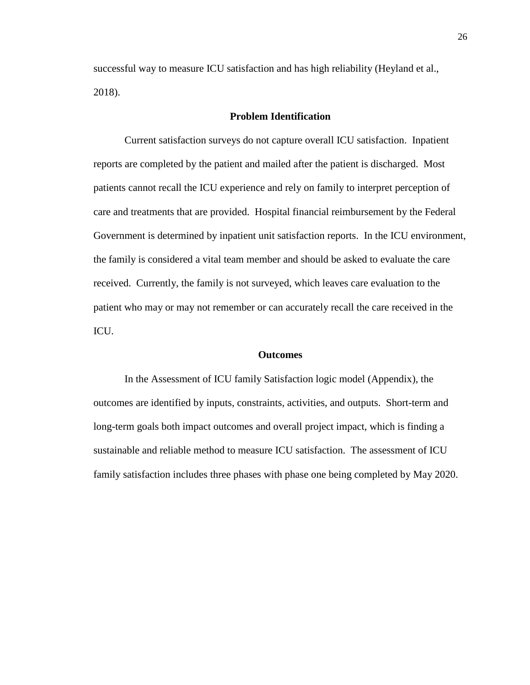successful way to measure ICU satisfaction and has high reliability (Heyland et al., 2018).

## **Problem Identification**

Current satisfaction surveys do not capture overall ICU satisfaction. Inpatient reports are completed by the patient and mailed after the patient is discharged. Most patients cannot recall the ICU experience and rely on family to interpret perception of care and treatments that are provided. Hospital financial reimbursement by the Federal Government is determined by inpatient unit satisfaction reports. In the ICU environment, the family is considered a vital team member and should be asked to evaluate the care received. Currently, the family is not surveyed, which leaves care evaluation to the patient who may or may not remember or can accurately recall the care received in the ICU.

#### **Outcomes**

In the Assessment of ICU family Satisfaction logic model (Appendix), the outcomes are identified by inputs, constraints, activities, and outputs. Short-term and long-term goals both impact outcomes and overall project impact, which is finding a sustainable and reliable method to measure ICU satisfaction. The assessment of ICU family satisfaction includes three phases with phase one being completed by May 2020.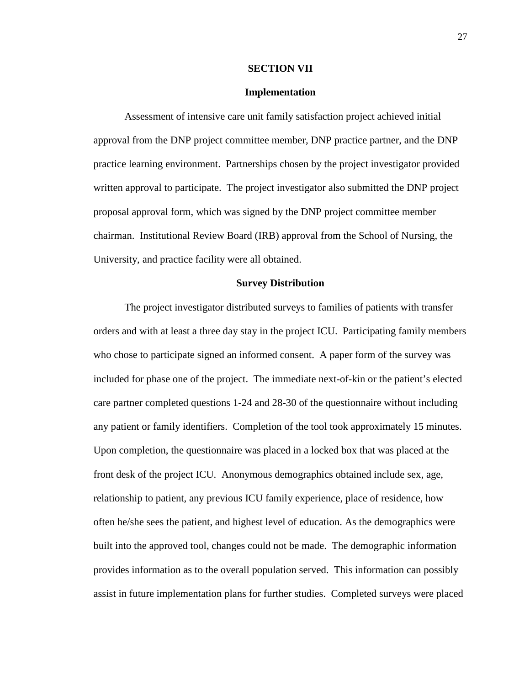#### **SECTION VII**

### **Implementation**

Assessment of intensive care unit family satisfaction project achieved initial approval from the DNP project committee member, DNP practice partner, and the DNP practice learning environment. Partnerships chosen by the project investigator provided written approval to participate. The project investigator also submitted the DNP project proposal approval form, which was signed by the DNP project committee member chairman. Institutional Review Board (IRB) approval from the School of Nursing, the University, and practice facility were all obtained.

#### **Survey Distribution**

The project investigator distributed surveys to families of patients with transfer orders and with at least a three day stay in the project ICU. Participating family members who chose to participate signed an informed consent. A paper form of the survey was included for phase one of the project. The immediate next-of-kin or the patient's elected care partner completed questions 1-24 and 28-30 of the questionnaire without including any patient or family identifiers. Completion of the tool took approximately 15 minutes. Upon completion, the questionnaire was placed in a locked box that was placed at the front desk of the project ICU. Anonymous demographics obtained include sex, age, relationship to patient, any previous ICU family experience, place of residence, how often he/she sees the patient, and highest level of education. As the demographics were built into the approved tool, changes could not be made. The demographic information provides information as to the overall population served. This information can possibly assist in future implementation plans for further studies. Completed surveys were placed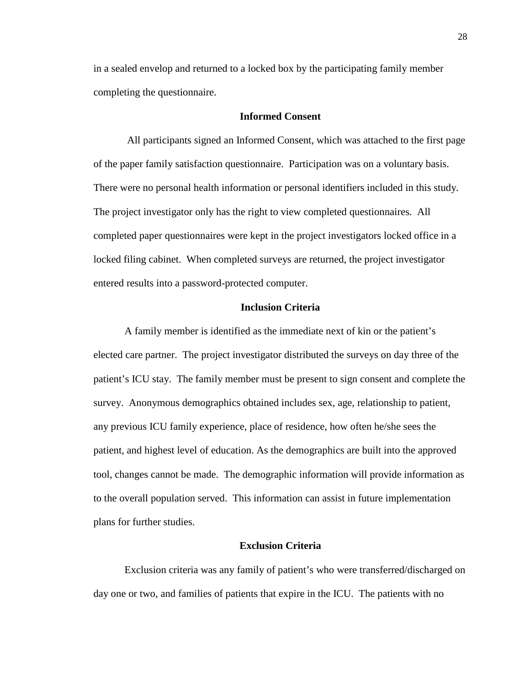in a sealed envelop and returned to a locked box by the participating family member completing the questionnaire.

#### **Informed Consent**

All participants signed an Informed Consent, which was attached to the first page of the paper family satisfaction questionnaire. Participation was on a voluntary basis. There were no personal health information or personal identifiers included in this study. The project investigator only has the right to view completed questionnaires. All completed paper questionnaires were kept in the project investigators locked office in a locked filing cabinet. When completed surveys are returned, the project investigator entered results into a password-protected computer.

#### **Inclusion Criteria**

A family member is identified as the immediate next of kin or the patient's elected care partner. The project investigator distributed the surveys on day three of the patient's ICU stay. The family member must be present to sign consent and complete the survey. Anonymous demographics obtained includes sex, age, relationship to patient, any previous ICU family experience, place of residence, how often he/she sees the patient, and highest level of education. As the demographics are built into the approved tool, changes cannot be made. The demographic information will provide information as to the overall population served. This information can assist in future implementation plans for further studies.

#### **Exclusion Criteria**

Exclusion criteria was any family of patient's who were transferred/discharged on day one or two, and families of patients that expire in the ICU. The patients with no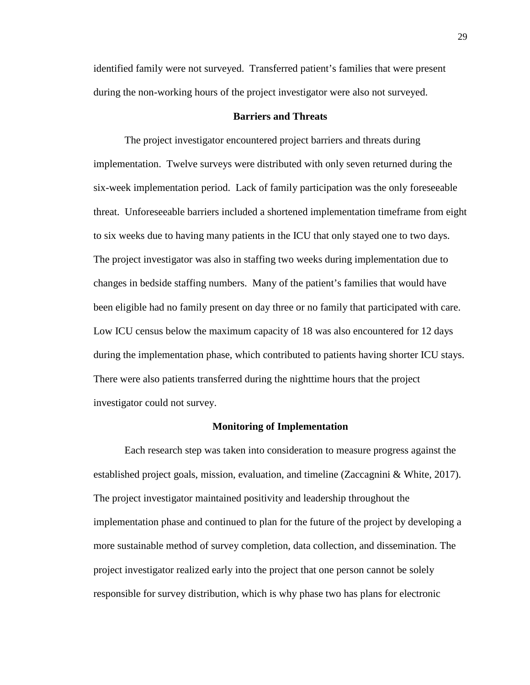identified family were not surveyed. Transferred patient's families that were present during the non-working hours of the project investigator were also not surveyed.

### **Barriers and Threats**

The project investigator encountered project barriers and threats during implementation. Twelve surveys were distributed with only seven returned during the six-week implementation period. Lack of family participation was the only foreseeable threat. Unforeseeable barriers included a shortened implementation timeframe from eight to six weeks due to having many patients in the ICU that only stayed one to two days. The project investigator was also in staffing two weeks during implementation due to changes in bedside staffing numbers. Many of the patient's families that would have been eligible had no family present on day three or no family that participated with care. Low ICU census below the maximum capacity of 18 was also encountered for 12 days during the implementation phase, which contributed to patients having shorter ICU stays. There were also patients transferred during the nighttime hours that the project investigator could not survey.

#### **Monitoring of Implementation**

Each research step was taken into consideration to measure progress against the established project goals, mission, evaluation, and timeline (Zaccagnini & White, 2017). The project investigator maintained positivity and leadership throughout the implementation phase and continued to plan for the future of the project by developing a more sustainable method of survey completion, data collection, and dissemination. The project investigator realized early into the project that one person cannot be solely responsible for survey distribution, which is why phase two has plans for electronic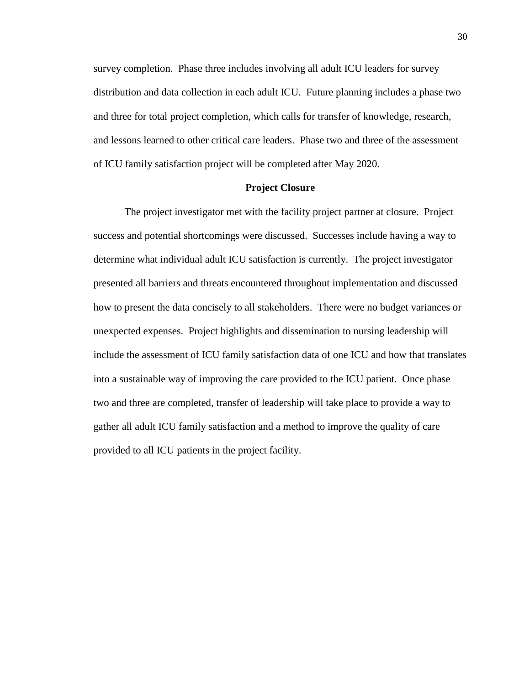survey completion. Phase three includes involving all adult ICU leaders for survey distribution and data collection in each adult ICU. Future planning includes a phase two and three for total project completion, which calls for transfer of knowledge, research, and lessons learned to other critical care leaders. Phase two and three of the assessment of ICU family satisfaction project will be completed after May 2020.

### **Project Closure**

The project investigator met with the facility project partner at closure. Project success and potential shortcomings were discussed. Successes include having a way to determine what individual adult ICU satisfaction is currently. The project investigator presented all barriers and threats encountered throughout implementation and discussed how to present the data concisely to all stakeholders. There were no budget variances or unexpected expenses. Project highlights and dissemination to nursing leadership will include the assessment of ICU family satisfaction data of one ICU and how that translates into a sustainable way of improving the care provided to the ICU patient. Once phase two and three are completed, transfer of leadership will take place to provide a way to gather all adult ICU family satisfaction and a method to improve the quality of care provided to all ICU patients in the project facility.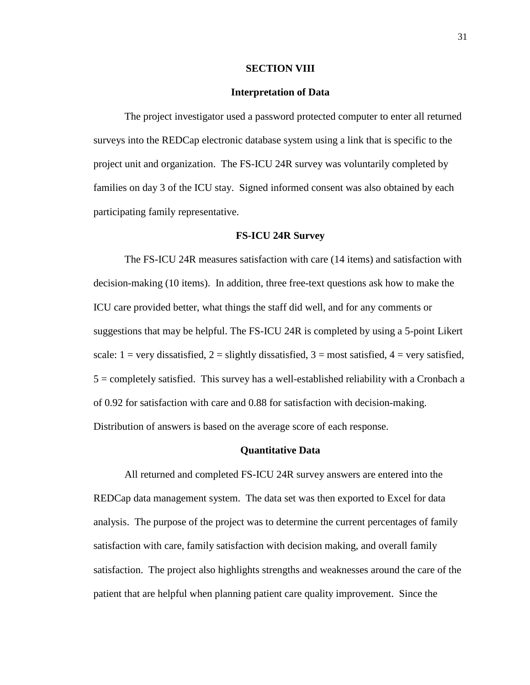#### **SECTION VIII**

#### **Interpretation of Data**

The project investigator used a password protected computer to enter all returned surveys into the REDCap electronic database system using a link that is specific to the project unit and organization. The FS-ICU 24R survey was voluntarily completed by families on day 3 of the ICU stay. Signed informed consent was also obtained by each participating family representative.

#### **FS-ICU 24R Survey**

The FS-ICU 24R measures satisfaction with care (14 items) and satisfaction with decision-making (10 items). In addition, three free-text questions ask how to make the ICU care provided better, what things the staff did well, and for any comments or suggestions that may be helpful. The FS-ICU 24R is completed by using a 5-point Likert scale:  $1 = \text{very dissatisfied}, 2 = \text{slightly dissatisfied}, 3 = \text{most satisfied}, 4 = \text{very satisfied},$ 5 = completely satisfied. This survey has a well-established reliability with a Cronbach a of 0.92 for satisfaction with care and 0.88 for satisfaction with decision-making. Distribution of answers is based on the average score of each response.

#### **Quantitative Data**

All returned and completed FS-ICU 24R survey answers are entered into the REDCap data management system. The data set was then exported to Excel for data analysis. The purpose of the project was to determine the current percentages of family satisfaction with care, family satisfaction with decision making, and overall family satisfaction. The project also highlights strengths and weaknesses around the care of the patient that are helpful when planning patient care quality improvement. Since the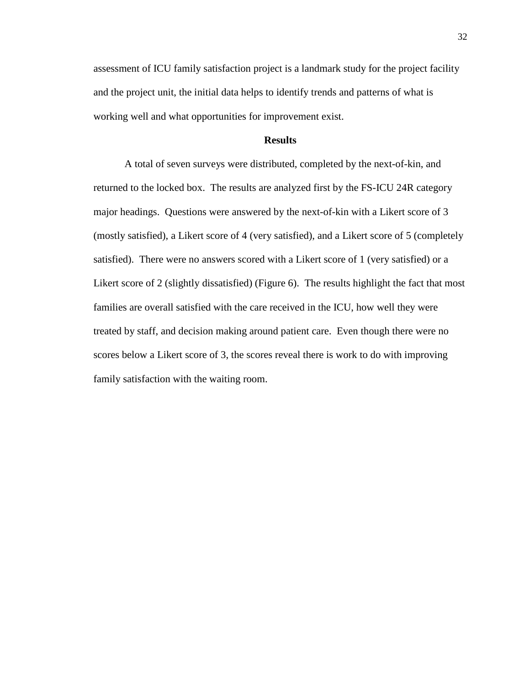assessment of ICU family satisfaction project is a landmark study for the project facility and the project unit, the initial data helps to identify trends and patterns of what is working well and what opportunities for improvement exist.

#### **Results**

A total of seven surveys were distributed, completed by the next-of-kin, and returned to the locked box. The results are analyzed first by the FS-ICU 24R category major headings. Questions were answered by the next-of-kin with a Likert score of 3 (mostly satisfied), a Likert score of 4 (very satisfied), and a Likert score of 5 (completely satisfied). There were no answers scored with a Likert score of 1 (very satisfied) or a Likert score of 2 (slightly dissatisfied) (Figure 6). The results highlight the fact that most families are overall satisfied with the care received in the ICU, how well they were treated by staff, and decision making around patient care. Even though there were no scores below a Likert score of 3, the scores reveal there is work to do with improving family satisfaction with the waiting room.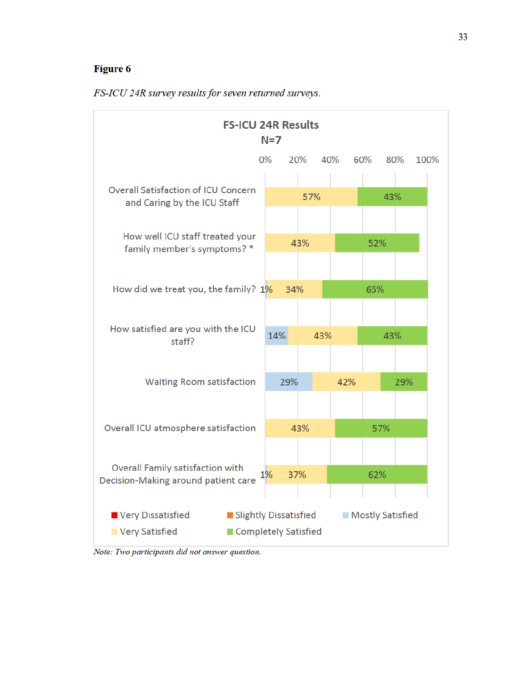## **Figure 6**



FS-ICU 24R survey results for seven returned surveys.

Note: Two participants did not answer question.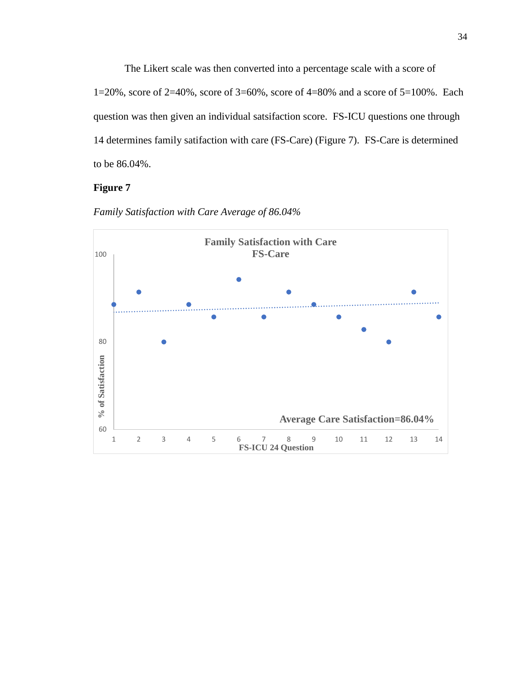The Likert scale was then converted into a percentage scale with a score of 1=20%, score of 2=40%, score of 3=60%, score of 4=80% and a score of 5=100%. Each question was then given an individual satsifaction score. FS-ICU questions one through 14 determines family satifaction with care (FS-Care) (Figure 7). FS-Care is determined to be 86.04%.

## **Figure 7**



*Family Satisfaction with Care Average of 86.04%*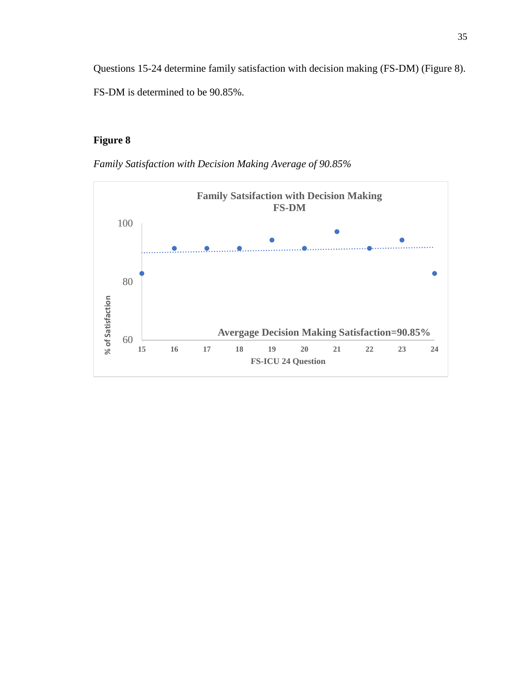Questions 15-24 determine family satisfaction with decision making (FS-DM) (Figure 8). FS-DM is determined to be 90.85%.

## **Figure 8**

*Family Satisfaction with Decision Making Average of 90.85%* 

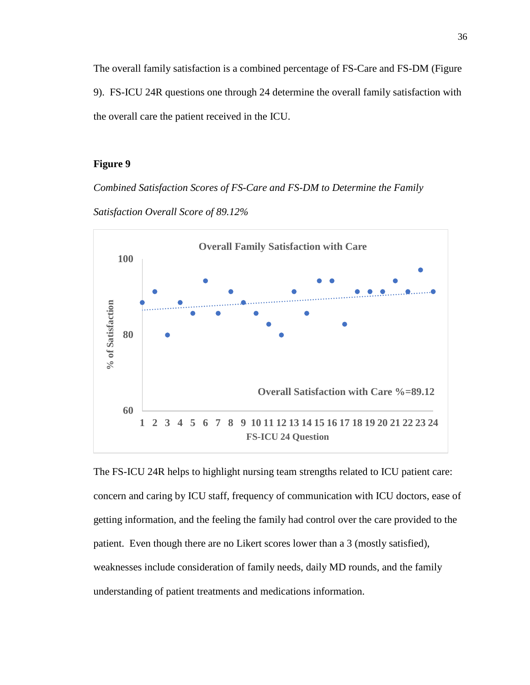The overall family satisfaction is a combined percentage of FS-Care and FS-DM (Figure 9). FS-ICU 24R questions one through 24 determine the overall family satisfaction with the overall care the patient received in the ICU.

## **Figure 9**

*Combined Satisfaction Scores of FS-Care and FS-DM to Determine the Family Satisfaction Overall Score of 89.12%* 



The FS-ICU 24R helps to highlight nursing team strengths related to ICU patient care: concern and caring by ICU staff, frequency of communication with ICU doctors, ease of getting information, and the feeling the family had control over the care provided to the patient. Even though there are no Likert scores lower than a 3 (mostly satisfied), weaknesses include consideration of family needs, daily MD rounds, and the family understanding of patient treatments and medications information.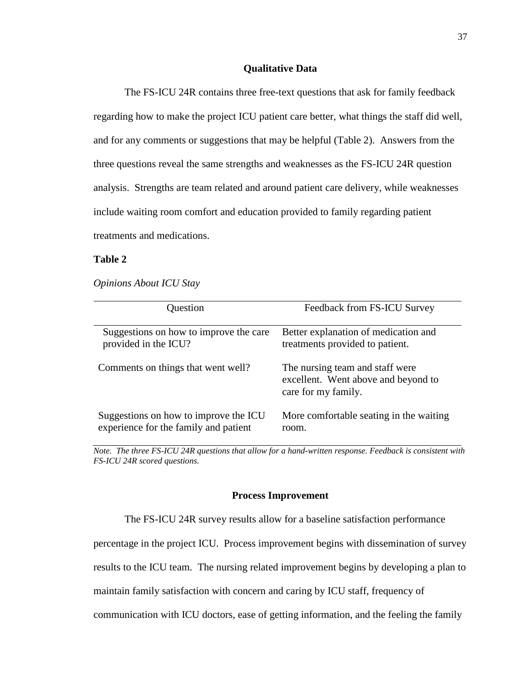## **Qualitative Data**

The FS-ICU 24R contains three free-text questions that ask for family feedback regarding how to make the project ICU patient care better, what things the staff did well, and for any comments or suggestions that may be helpful (Table 2). Answers from the three questions reveal the same strengths and weaknesses as the FS-ICU 24R question analysis. Strengths are team related and around patient care delivery, while weaknesses include waiting room comfort and education provided to family regarding patient treatments and medications.

### **Table 2**

*Opinions About ICU Stay* 

| Question                               | Feedback from FS-ICU Survey                                                                    |
|----------------------------------------|------------------------------------------------------------------------------------------------|
| Suggestions on how to improve the care | Better explanation of medication and                                                           |
| provided in the ICU?                   | treatments provided to patient.                                                                |
| Comments on things that went well?     | The nursing team and staff were.<br>excellent. Went above and beyond to<br>care for my family. |
| Suggestions on how to improve the ICU  | More comfortable seating in the waiting                                                        |
| experience for the family and patient  | room.                                                                                          |

*Note. The three FS-ICU 24R questions that allow for a hand-written response. Feedback is consistent with FS-ICU 24R scored questions.* 

### **Process Improvement**

The FS-ICU 24R survey results allow for a baseline satisfaction performance

percentage in the project ICU. Process improvement begins with dissemination of survey

results to the ICU team. The nursing related improvement begins by developing a plan to

maintain family satisfaction with concern and caring by ICU staff, frequency of

communication with ICU doctors, ease of getting information, and the feeling the family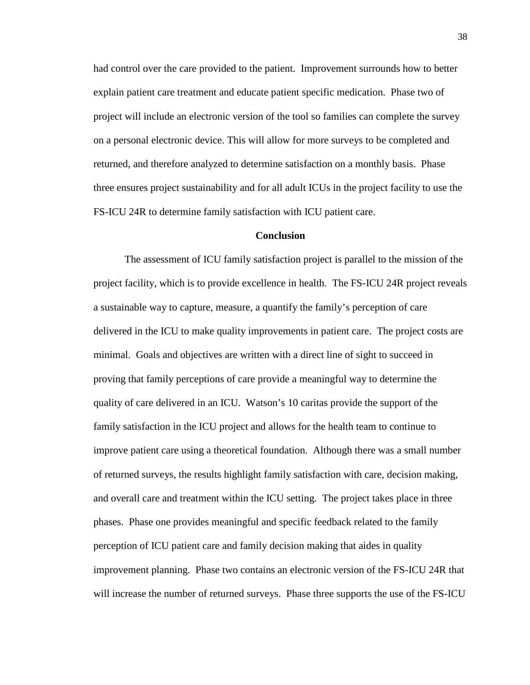had control over the care provided to the patient. Improvement surrounds how to better explain patient care treatment and educate patient specific medication. Phase two of project will include an electronic version of the tool so families can complete the survey on a personal electronic device. This will allow for more surveys to be completed and returned, and therefore analyzed to determine satisfaction on a monthly basis. Phase three ensures project sustainability and for all adult ICUs in the project facility to use the FS-ICU 24R to determine family satisfaction with ICU patient care.

### **Conclusion**

The assessment of ICU family satisfaction project is parallel to the mission of the project facility, which is to provide excellence in health. The FS-ICU 24R project reveals a sustainable way to capture, measure, a quantify the family's perception of care delivered in the ICU to make quality improvements in patient care. The project costs are minimal. Goals and objectives are written with a direct line of sight to succeed in proving that family perceptions of care provide a meaningful way to determine the quality of care delivered in an ICU. Watson's 10 caritas provide the support of the family satisfaction in the ICU project and allows for the health team to continue to improve patient care using a theoretical foundation. Although there was a small number of returned surveys, the results highlight family satisfaction with care, decision making, and overall care and treatment within the ICU setting. The project takes place in three phases. Phase one provides meaningful and specific feedback related to the family perception of ICU patient care and family decision making that aides in quality improvement planning. Phase two contains an electronic version of the FS-ICU 24R that will increase the number of returned surveys. Phase three supports the use of the FS-ICU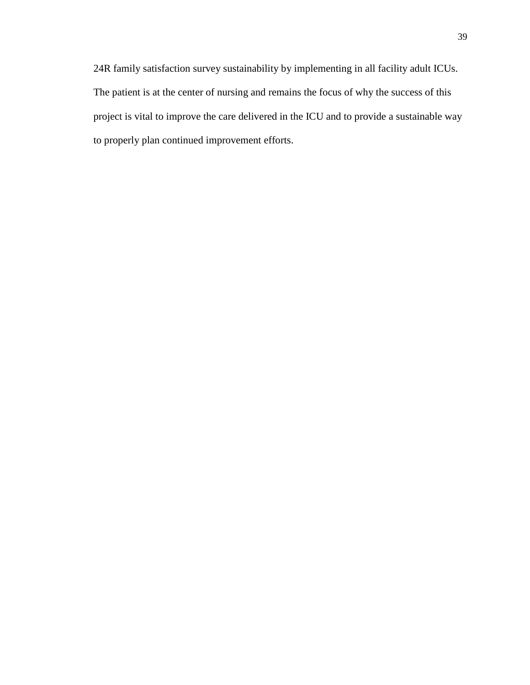24R family satisfaction survey sustainability by implementing in all facility adult ICUs. The patient is at the center of nursing and remains the focus of why the success of this project is vital to improve the care delivered in the ICU and to provide a sustainable way to properly plan continued improvement efforts.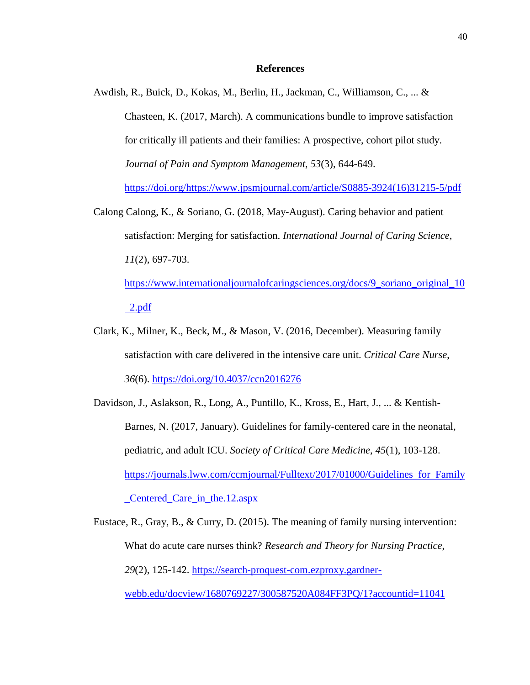#### **References**

- Awdish, R., Buick, D., Kokas, M., Berlin, H., Jackman, C., Williamson, C., ... & Chasteen, K. (2017, March). A communications bundle to improve satisfaction for critically ill patients and their families: A prospective, cohort pilot study. *Journal of Pain and Symptom Management*, *53*(3), 644-649. https://doi.org/https://www.jpsmjournal.com/article/S0885-3924(16)31215-5/pdf
- Calong Calong, K., & Soriano, G. (2018, May-August). Caring behavior and patient satisfaction: Merging for satisfaction. *International Journal of Caring Science*, *11*(2), 697-703. https://www.internationaljournalofcaringsciences.org/docs/9\_soriano\_original\_10

2.pdf

- Clark, K., Milner, K., Beck, M., & Mason, V. (2016, December). Measuring family satisfaction with care delivered in the intensive care unit. *Critical Care Nurse*, *36*(6). https://doi.org/10.4037/ccn2016276
- Davidson, J., Aslakson, R., Long, A., Puntillo, K., Kross, E., Hart, J., ... & Kentish-Barnes, N. (2017, January). Guidelines for family-centered care in the neonatal, pediatric, and adult ICU. *Society of Critical Care Medicine*, *45*(1), 103-128. https://journals.lww.com/ccmjournal/Fulltext/2017/01000/Guidelines for Family \_Centered\_Care\_in\_the.12.aspx

Eustace, R., Gray, B., & Curry, D. (2015). The meaning of family nursing intervention: What do acute care nurses think? *Research and Theory for Nursing Practice*, *29*(2), 125-142. https://search-proquest-com.ezproxy.gardnerwebb.edu/docview/1680769227/300587520A084FF3PQ/1?accountid=11041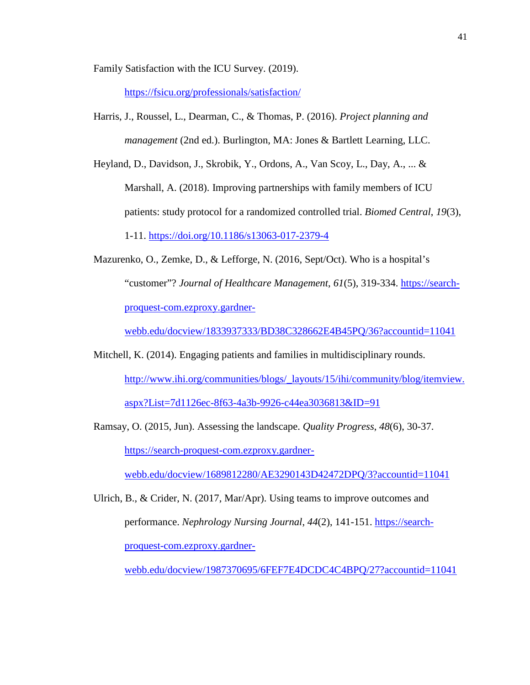Family Satisfaction with the ICU Survey. (2019).

https://fsicu.org/professionals/satisfaction/

- Harris, J., Roussel, L., Dearman, C., & Thomas, P. (2016). *Project planning and management* (2nd ed.). Burlington, MA: Jones & Bartlett Learning, LLC.
- Heyland, D., Davidson, J., Skrobik, Y., Ordons, A., Van Scoy, L., Day, A., ... & Marshall, A. (2018). Improving partnerships with family members of ICU patients: study protocol for a randomized controlled trial. *Biomed Central*, *19*(3), 1-11. https://doi.org/10.1186/s13063-017-2379-4
- Mazurenko, O., Zemke, D., & Lefforge, N. (2016, Sept/Oct). Who is a hospital's "customer"? *Journal of Healthcare Management*, *61*(5), 319-334. https://searchproquest-com.ezproxy.gardner-

webb.edu/docview/1833937333/BD38C328662E4B45PQ/36?accountid=11041

- Mitchell, K. (2014). Engaging patients and families in multidisciplinary rounds. http://www.ihi.org/communities/blogs/\_layouts/15/ihi/community/blog/itemview. aspx?List=7d1126ec-8f63-4a3b-9926-c44ea3036813&ID=91
- Ramsay, O. (2015, Jun). Assessing the landscape. *Quality Progress*, *48*(6), 30-37. https://search-proquest-com.ezproxy.gardner-

webb.edu/docview/1689812280/AE3290143D42472DPQ/3?accountid=11041

Ulrich, B., & Crider, N. (2017, Mar/Apr). Using teams to improve outcomes and performance. *Nephrology Nursing Journal*, *44*(2), 141-151. https://searchproquest-com.ezproxy.gardner-

webb.edu/docview/1987370695/6FEF7E4DCDC4C4BPQ/27?accountid=11041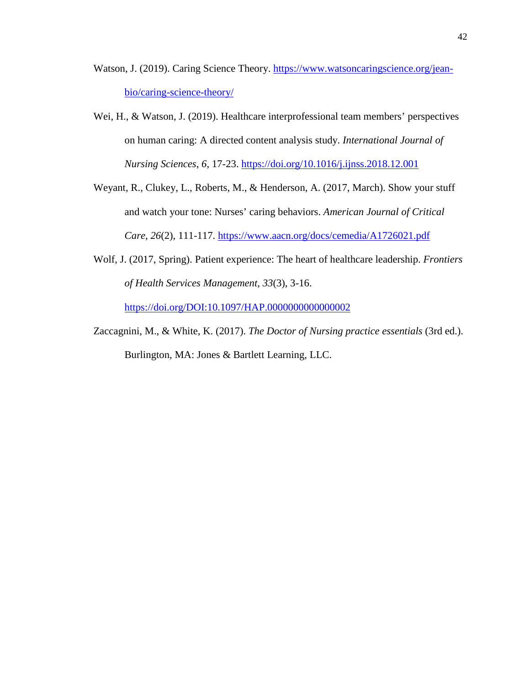- Watson, J. (2019). Caring Science Theory. https://www.watsoncaringscience.org/jeanbio/caring-science-theory/
- Wei, H., & Watson, J. (2019). Healthcare interprofessional team members' perspectives on human caring: A directed content analysis study. *International Journal of Nursing Sciences*, *6*, 17-23. https://doi.org/10.1016/j.ijnss.2018.12.001
- Weyant, R., Clukey, L., Roberts, M., & Henderson, A. (2017, March). Show your stuff and watch your tone: Nurses' caring behaviors. *American Journal of Critical Care*, *26*(2), 111-117. https://www.aacn.org/docs/cemedia/A1726021.pdf
- Wolf, J. (2017, Spring). Patient experience: The heart of healthcare leadership. *Frontiers of Health Services Management*, *33*(3), 3-16. https://doi.org/DOI:10.1097/HAP.0000000000000002
- Zaccagnini, M., & White, K. (2017). *The Doctor of Nursing practice essentials* (3rd ed.). Burlington, MA: Jones & Bartlett Learning, LLC.